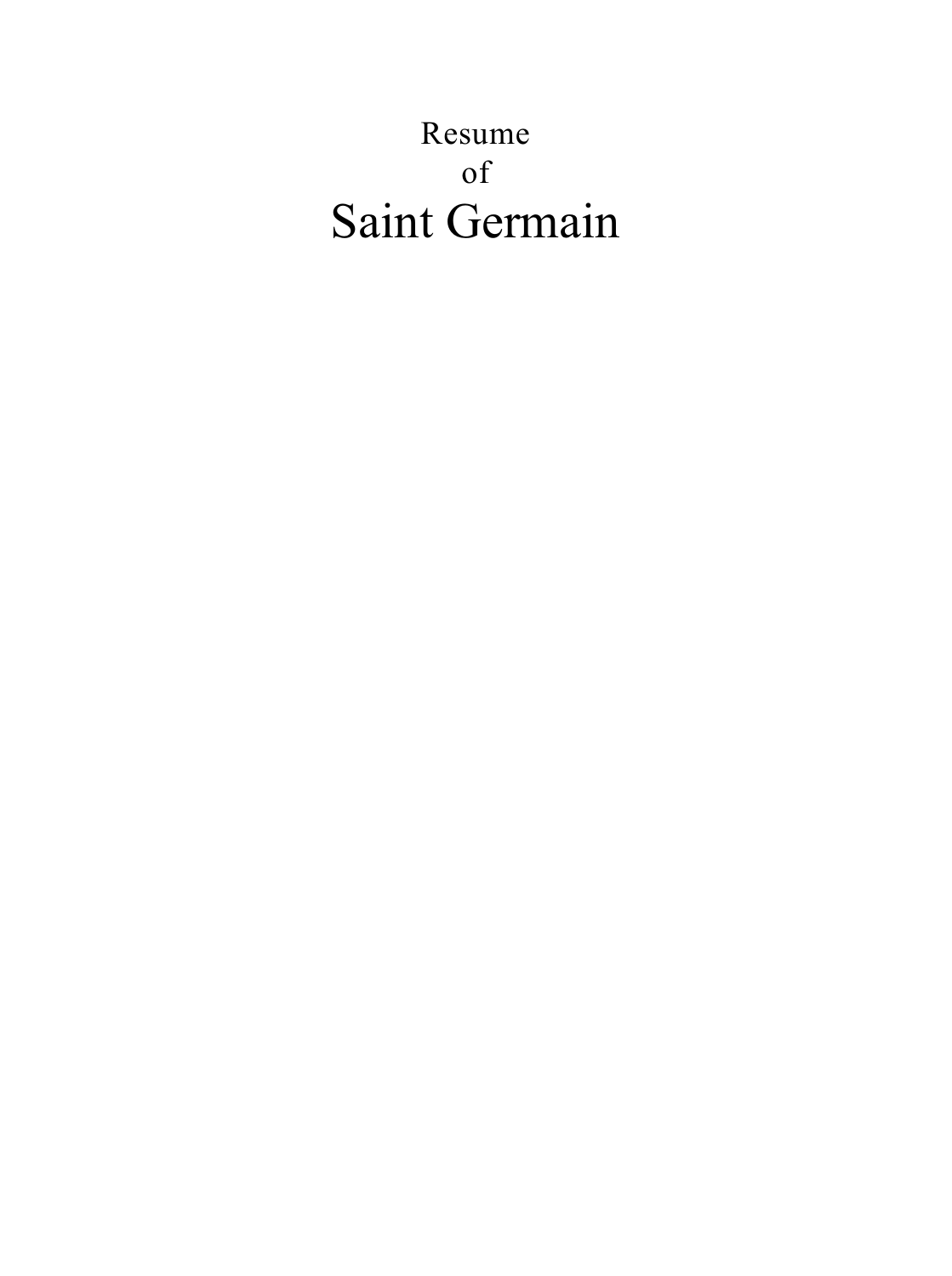# Resume of Saint Germain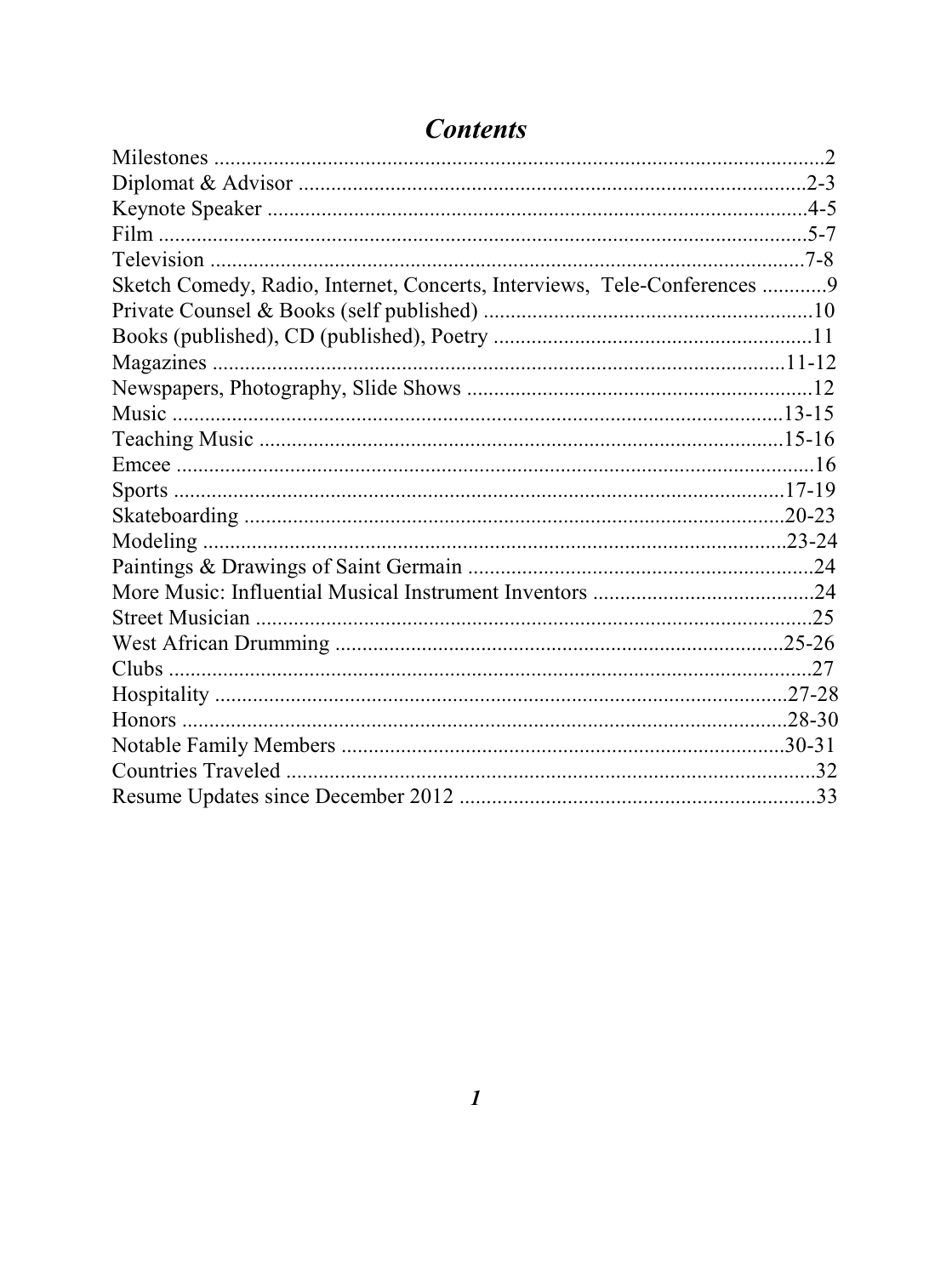| Sketch Comedy, Radio, Internet, Concerts, Interviews, Tele-Conferences  9 |  |
|---------------------------------------------------------------------------|--|
|                                                                           |  |
|                                                                           |  |
|                                                                           |  |
|                                                                           |  |
|                                                                           |  |
|                                                                           |  |
|                                                                           |  |
|                                                                           |  |
|                                                                           |  |
|                                                                           |  |
|                                                                           |  |
|                                                                           |  |
|                                                                           |  |
|                                                                           |  |
|                                                                           |  |
|                                                                           |  |
|                                                                           |  |
|                                                                           |  |
|                                                                           |  |
|                                                                           |  |

# **Contents**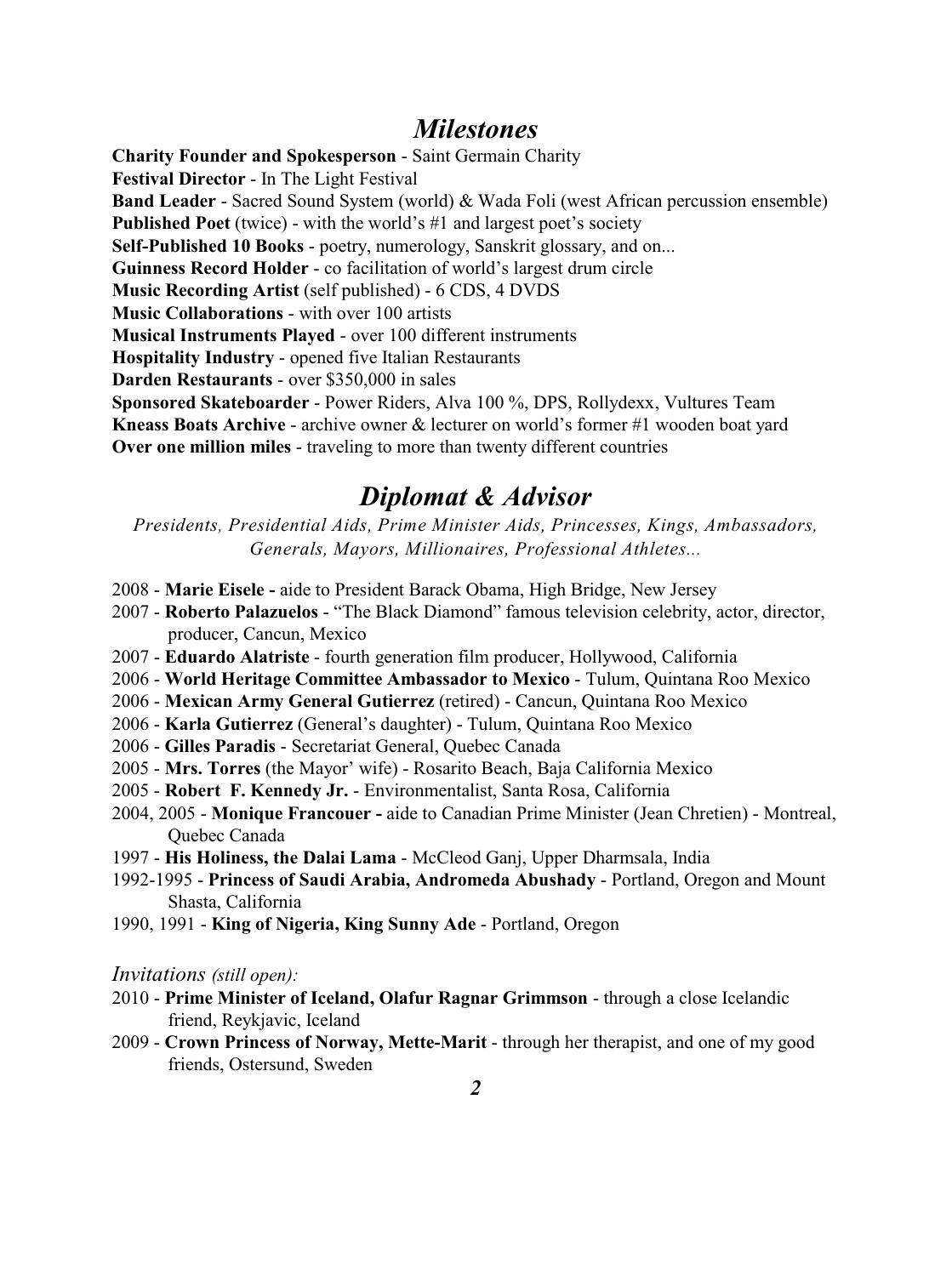### *Milestones*

**Charity Founder and Spokesperson** - Saint Germain Charity **Festival Director** - In The Light Festival **Band Leader** - Sacred Sound System (world) & Wada Foli (west African percussion ensemble) **Published Poet** (twice) - with the world's #1 and largest poet's society **Self-Published 10 Books** - poetry, numerology, Sanskrit glossary, and on... **Guinness Record Holder** - co facilitation of world's largest drum circle **Music Recording Artist** (self published) - 6 CDS, 4 DVDS **Music Collaborations** - with over 100 artists **Musical Instruments Played** - over 100 different instruments **Hospitality Industry** - opened five Italian Restaurants **Darden Restaurants** - over \$350,000 in sales **Sponsored Skateboarder** - Power Riders, Alva 100 %, DPS, Rollydexx, Vultures Team **Kneass Boats Archive** - archive owner & lecturer on world's former #1 wooden boat yard **Over one million miles** - traveling to more than twenty different countries

# *Diplomat & Advisor*

*Presidents, Presidential Aids, Prime Minister Aids, Princesses, Kings, Ambassadors, Generals, Mayors, Millionaires, Professional Athletes...*

- 2008 **Marie Eisele** aide to President Barack Obama, High Bridge, New Jersey
- 2007 **Roberto Palazuelos** "The Black Diamond" famous television celebrity, actor, director, producer, Cancun, Mexico
- 2007 **Eduardo Alatriste** fourth generation film producer, Hollywood, California
- 2006 **World Heritage Committee Ambassador to Mexico**  Tulum, Quintana Roo Mexico
- 2006 **Mexican Army General Gutierrez** (retired) Cancun, Quintana Roo Mexico
- 2006 **Karla Gutierrez** (General's daughter) Tulum, Quintana Roo Mexico
- 2006 **Gilles Paradis** Secretariat General, Quebec Canada
- 2005 **Mrs. Torres** (the Mayor' wife) Rosarito Beach, Baja California Mexico
- 2005 **Robert F. Kennedy Jr.**  Environmentalist, Santa Rosa, California
- 2004, 2005 **Monique Francouer -** aide to Canadian Prime Minister (Jean Chretien) Montreal, Quebec Canada
- 1997 **His Holiness, the Dalai Lama**  McCleod Ganj, Upper Dharmsala, India
- 1992-1995 **Princess of Saudi Arabia, Andromeda Abushady** Portland, Oregon and Mount Shasta, California
- 1990, 1991 **King of Nigeria, King Sunny Ade** Portland, Oregon

*Invitations (still open):*

- 2010 **Prime Minister of Iceland, Olafur Ragnar Grimmson** through a close Icelandic friend, Reykjavic, Iceland
- 2009 **Crown Princess of Norway, Mette-Marit** through her therapist, and one of my good friends, Ostersund, Sweden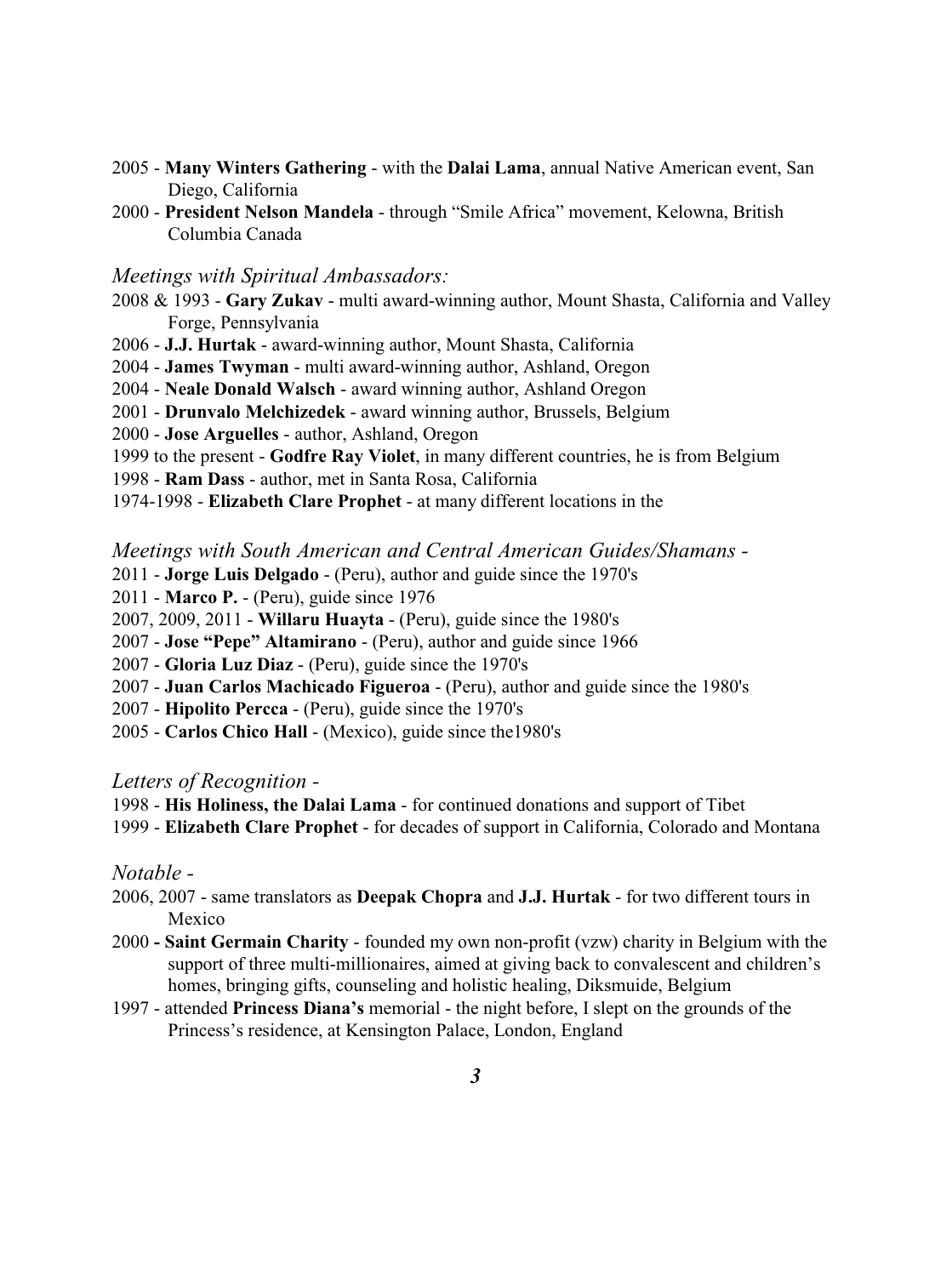- 2005 **Many Winters Gathering** with the **Dalai Lama**, annual Native American event, San Diego, California
- 2000 **President Nelson Mandela** through "Smile Africa" movement, Kelowna, British Columbia Canada

#### *Meetings with Spiritual Ambassadors:*

- 2008 & 1993 **Gary Zukav** multi award-winning author, Mount Shasta, California and Valley Forge, Pennsylvania
- 2006 **J.J. Hurtak**  award-winning author, Mount Shasta, California
- 2004 **James Twyman**  multi award-winning author, Ashland, Oregon
- 2004 **Neale Donald Walsch**  award winning author, Ashland Oregon
- 2001 **Drunvalo Melchizedek**  award winning author, Brussels, Belgium
- 2000 **Jose Arguelles** author, Ashland, Oregon
- 1999 to the present **Godfre Ray Violet**, in many different countries, he is from Belgium
- 1998 **Ram Dass**  author, met in Santa Rosa, California
- 1974-1998 **Elizabeth Clare Prophet**  at many different locations in the

*Meetings with South American and Central American Guides/Shamans -*

- 2011 - **Jorge Luis Delgado**  (Peru), author and guide since the 1970's
- 2011 - **Marco P.**  (Peru), guide since 1976
- 2007, 2009, 2011 - **Willaru Huayta**  (Peru), guide since the 1980's
- 2007 - **Jose "Pepe" Altamirano**  (Peru), author and guide since 1966
- 2007 - **Gloria Luz Diaz**  (Peru), guide since the 1970's
- 2007 - **Juan Carlos Machicado Figueroa** (Peru), author and guide since the 1980's
- 2007 - **Hipolito Percca**  (Peru), guide since the 1970's
- 2005 - **Carlos Chico Hall**  (Mexico), guide since the1980's

#### *Letters of Recognition -*

- 1998 **His Holiness, the Dalai Lama**  for continued donations and support of Tibet
- 1999 **Elizabeth Clare Prophet**  for decades of support in California, Colorado and Montana

#### *Notable -*

- 2006, 2007 same translators as **Deepak Chopra** and **J.J. Hurtak**  for two different tours in Mexico
- 2000  **Saint Germain Charity**  founded my own non-profit (vzw) charity in Belgium with the support of three multi-millionaires, aimed at giving back to convalescent and children's homes, bringing gifts, counseling and holistic healing, Diksmuide, Belgium
- 1997 attended **Princess Diana's** memorial the night before, I slept on the grounds of the Princess's residence, at Kensington Palace, London, England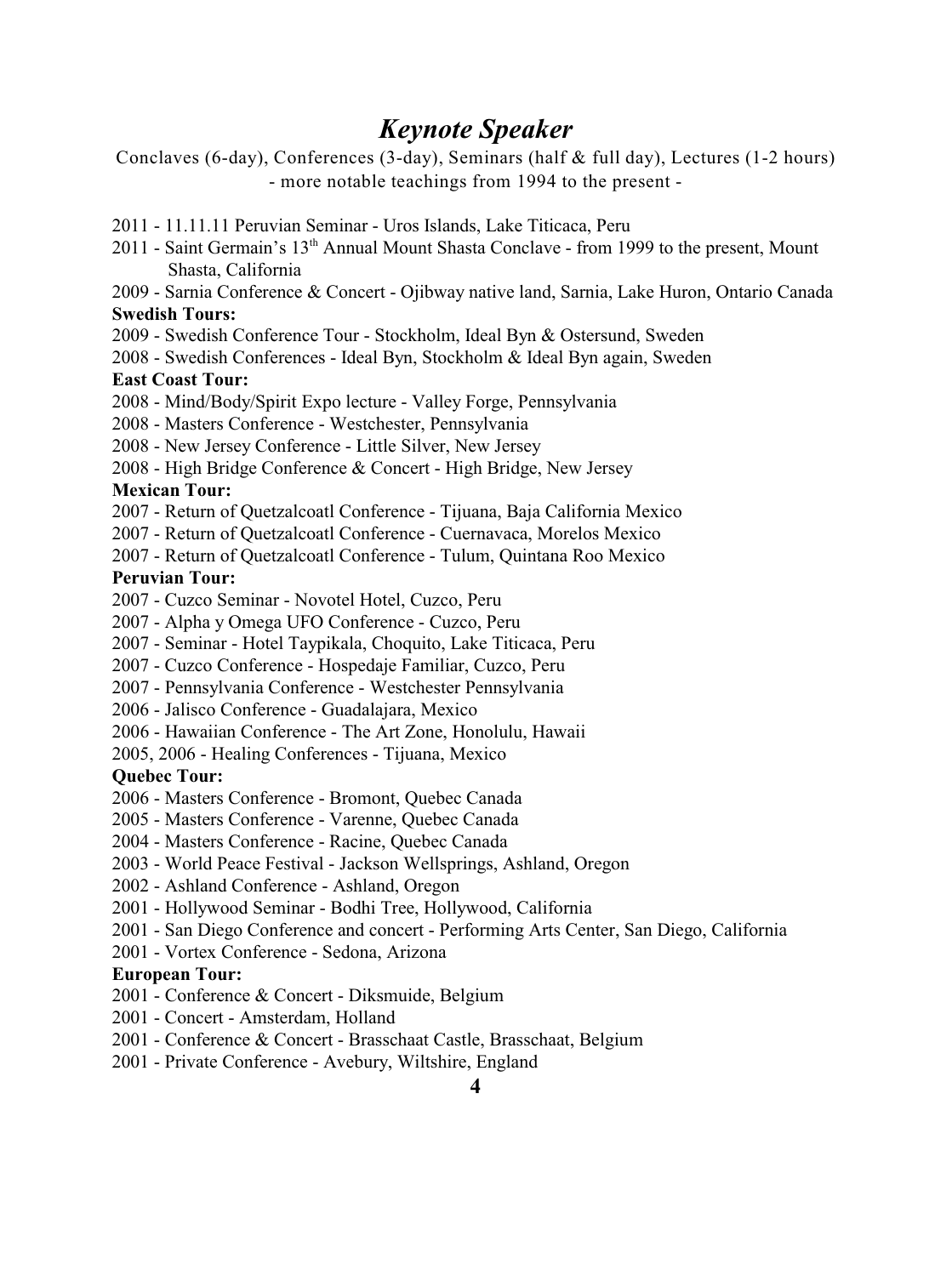# *Keynote Speaker*

Conclaves (6-day), Conferences (3-day), Seminars (half & full day), Lectures (1-2 hours) - more notable teachings from 1994 to the present -

- 2011 11.11.11 Peruvian Seminar Uros Islands, Lake Titicaca, Peru
- 2011 Saint Germain's 13<sup>th</sup> Annual Mount Shasta Conclave from 1999 to the present, Mount Shasta, California
- 2009 Sarnia Conference & Concert Ojibway native land, Sarnia, Lake Huron, Ontario Canada **Swedish Tours:**
- 2009 Swedish Conference Tour Stockholm, Ideal Byn & Ostersund, Sweden
- 2008 Swedish Conferences Ideal Byn, Stockholm & Ideal Byn again, Sweden

#### **East Coast Tour:**

- 2008 Mind/Body/Spirit Expo lecture Valley Forge, Pennsylvania
- 2008 Masters Conference Westchester, Pennsylvania
- 2008 New Jersey Conference Little Silver, New Jersey
- 2008 High Bridge Conference & Concert High Bridge, New Jersey

#### **Mexican Tour:**

- 2007 Return of Quetzalcoatl Conference Tijuana, Baja California Mexico
- 2007 Return of Quetzalcoatl Conference Cuernavaca, Morelos Mexico
- 2007 Return of Quetzalcoatl Conference Tulum, Quintana Roo Mexico

#### **Peruvian Tour:**

2007 - Cuzco Seminar - Novotel Hotel, Cuzco, Peru

- 2007 Alpha y Omega UFO Conference Cuzco, Peru
- 2007 Seminar Hotel Taypikala, Choquito, Lake Titicaca, Peru
- 2007 Cuzco Conference Hospedaje Familiar, Cuzco, Peru
- 2007 Pennsylvania Conference Westchester Pennsylvania
- 2006 Jalisco Conference Guadalajara, Mexico
- 2006 Hawaiian Conference The Art Zone, Honolulu, Hawaii

2005, 2006 - Healing Conferences - Tijuana, Mexico

#### **Quebec Tour:**

- 2006 Masters Conference Bromont, Quebec Canada
- 2005 Masters Conference Varenne, Quebec Canada
- 2004 Masters Conference Racine, Quebec Canada
- 2003 World Peace Festival Jackson Wellsprings, Ashland, Oregon
- 2002 Ashland Conference Ashland, Oregon
- 2001 Hollywood Seminar Bodhi Tree, Hollywood, California
- 2001 San Diego Conference and concert Performing Arts Center, San Diego, California
- 2001 Vortex Conference Sedona, Arizona

#### **European Tour:**

- 2001 Conference & Concert Diksmuide, Belgium
- 2001 Concert Amsterdam, Holland
- 2001 Conference & Concert Brasschaat Castle, Brasschaat, Belgium
- 2001 Private Conference Avebury, Wiltshire, England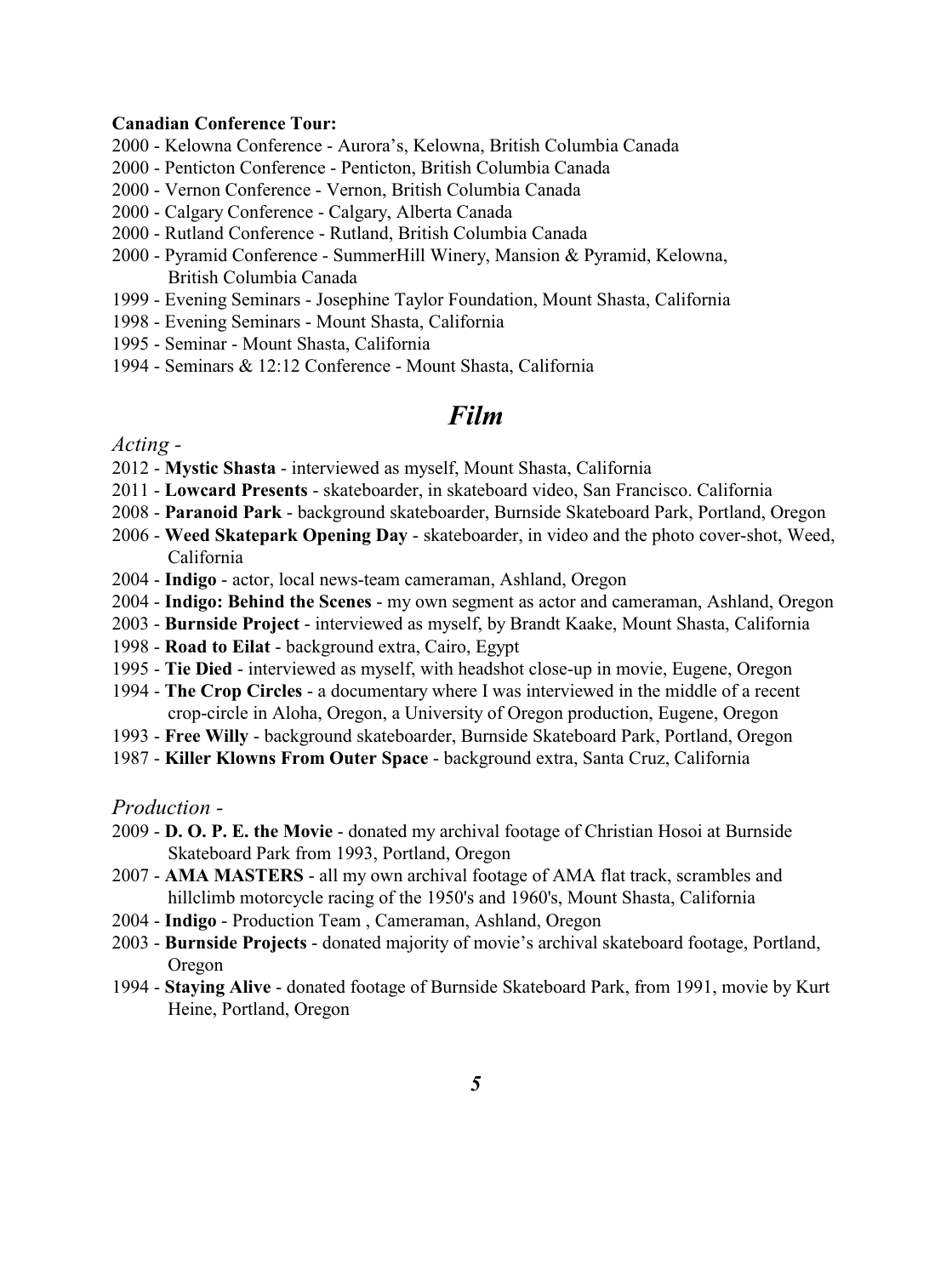#### **Canadian Conference Tour:**

- 2000 Kelowna Conference Aurora's, Kelowna, British Columbia Canada
- 2000 Penticton Conference Penticton, British Columbia Canada
- 2000 Vernon Conference Vernon, British Columbia Canada
- 2000 Calgary Conference Calgary, Alberta Canada
- 2000 Rutland Conference Rutland, British Columbia Canada
- 2000 Pyramid Conference SummerHill Winery, Mansion & Pyramid, Kelowna, British Columbia Canada
- 1999 Evening Seminars Josephine Taylor Foundation, Mount Shasta, California
- 1998 Evening Seminars Mount Shasta, California
- 1995 Seminar Mount Shasta, California
- 1994 Seminars & 12:12 Conference Mount Shasta, California

### *Film*

*Acting -*

- 2012 **Mystic Shasta**  interviewed as myself, Mount Shasta, California
- 2011 **Lowcard Presents**  skateboarder, in skateboard video, San Francisco. California
- 2008 **Paranoid Park**  background skateboarder, Burnside Skateboard Park, Portland, Oregon
- 2006 **Weed Skatepark Opening Day**  skateboarder, in video and the photo cover-shot, Weed, California
- 2004 - **Indigo**  actor, local news-team cameraman, Ashland, Oregon
- 2004 **Indigo: Behind the Scenes**  my own segment as actor and cameraman, Ashland, Oregon
- 2003 **Burnside Project**  interviewed as myself, by Brandt Kaake, Mount Shasta, California
- 1998 **Road to Eilat**  background extra, Cairo, Egypt
- 1995 - **Tie Died**  interviewed as myself, with headshot close-up in movie, Eugene, Oregon
- 1994 **The Crop Circles**  a documentary where I was interviewed in the middle of a recent crop-circle in Aloha, Oregon, a University of Oregon production, Eugene, Oregon
- 1993 **Free Willy**  background skateboarder, Burnside Skateboard Park, Portland, Oregon
- 1987 **Killer Klowns From Outer Space**  background extra, Santa Cruz, California

*Production -*

- 2009 **D. O. P. E. the Movie**  donated my archival footage of Christian Hosoi at Burnside Skateboard Park from 1993, Portland, Oregon
- 2007 **AMA MASTERS** all my own archival footage of AMA flat track, scrambles and hillclimb motorcycle racing of the 1950's and 1960's, Mount Shasta, California
- 2004 **Indigo**  Production Team , Cameraman, Ashland, Oregon
- 2003 **Burnside Projects** donated majority of movie's archival skateboard footage, Portland, Oregon
- 1994 **Staying Alive**  donated footage of Burnside Skateboard Park, from 1991, movie by Kurt Heine, Portland, Oregon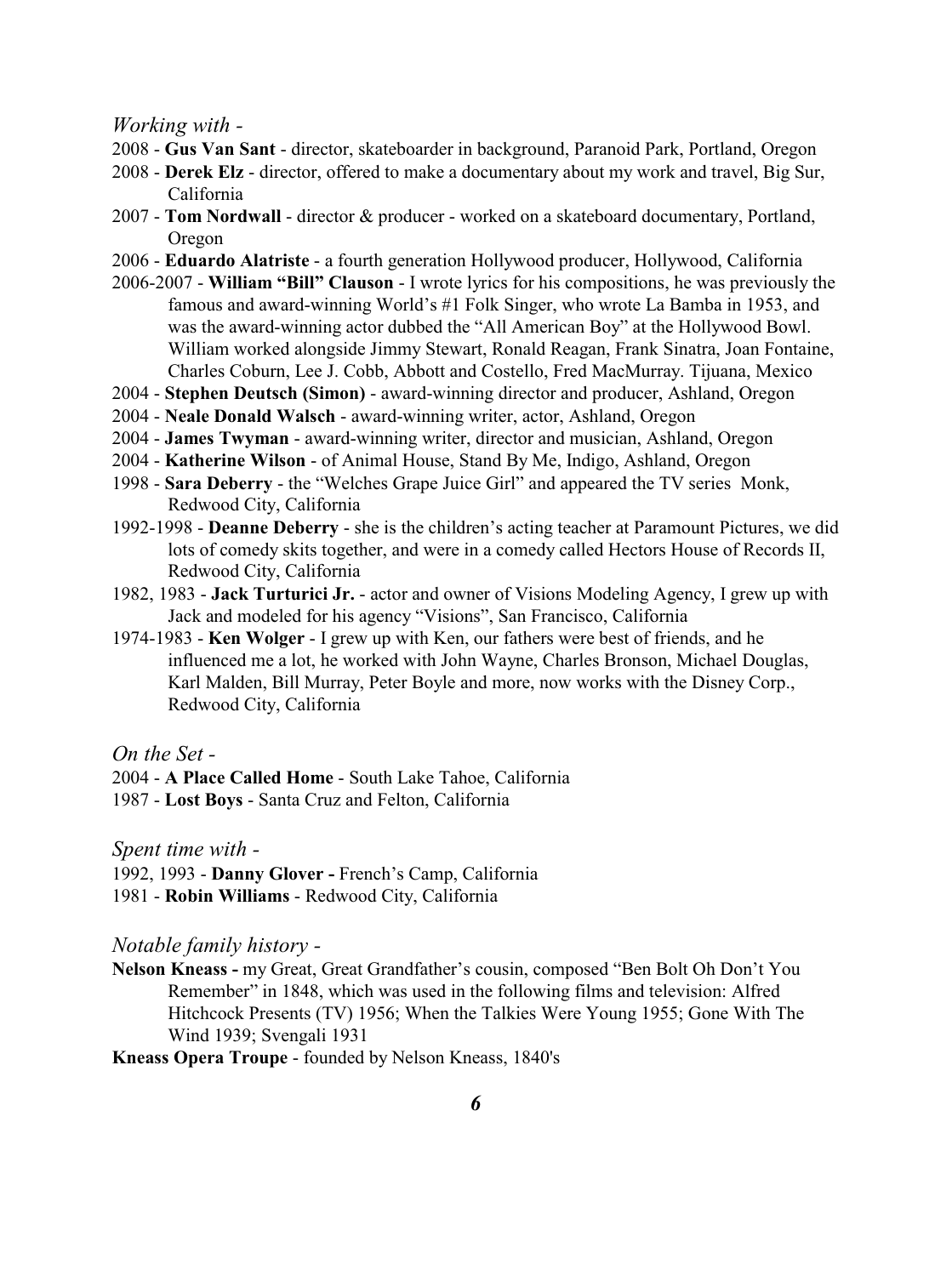*Working with -* 

- 2008 **Gus Van Sant**  director, skateboarder in background, Paranoid Park, Portland, Oregon
- 2008 **Derek Elz**  director, offered to make a documentary about my work and travel, Big Sur, California
- 2007 - **Tom Nordwall** director & producer worked on a skateboard documentary, Portland, Oregon
- 2006 **Eduardo Alatriste** a fourth generation Hollywood producer, Hollywood, California
- 2006-2007 **William "Bill" Clauson**  I wrote lyrics for his compositions, he was previously the famous and award-winning World's #1 Folk Singer, who wrote La Bamba in 1953, and was the award-winning actor dubbed the "All American Boy" at the Hollywood Bowl. William worked alongside Jimmy Stewart, Ronald Reagan, Frank Sinatra, Joan Fontaine, Charles Coburn, Lee J. Cobb, Abbott and Costello, Fred MacMurray. Tijuana, Mexico
- 2004 **Stephen Deutsch (Simon)**  award-winning director and producer, Ashland, Oregon
- 2004 **Neale Donald Walsch**  award-winning writer, actor, Ashland, Oregon
- 2004 **James Twyman**  award-winning writer, director and musician, Ashland, Oregon
- 2004 **Katherine Wilson**  of Animal House, Stand By Me, Indigo, Ashland, Oregon
- 1998 - **Sara Deberry**  the "Welches Grape Juice Girl" and appeared the TV series Monk, Redwood City, California
- 1992-1998 **Deanne Deberry**  she is the children's acting teacher at Paramount Pictures, we did lots of comedy skits together, and were in a comedy called Hectors House of Records II, Redwood City, California
- 1982, 1983 **Jack Turturici Jr.**  actor and owner of Visions Modeling Agency, I grew up with Jack and modeled for his agency "Visions", San Francisco, California
- 1974-1983 **Ken Wolger**  I grew up with Ken, our fathers were best of friends, and he influenced me a lot, he worked with John Wayne, Charles Bronson, Michael Douglas, Karl Malden, Bill Murray, Peter Boyle and more, now works with the Disney Corp., Redwood City, California

*On the Set -*

- 2004 **A Place Called Home**  South Lake Tahoe, California
- 1987 **Lost Boys**  Santa Cruz and Felton, California

*Spent time with -*

1992, 1993 - **Danny Glover -** French's Camp, California 1981 - **Robin Williams** - Redwood City, California

#### *Notable family history -*

**Nelson Kneass -** my Great, Great Grandfather's cousin, composed "Ben Bolt Oh Don't You Remember" in 1848, which was used in the following films and television: Alfred Hitchcock Presents (TV) 1956; When the Talkies Were Young 1955; Gone With The Wind 1939; Svengali 1931

**Kneass Opera Troupe** - founded by Nelson Kneass, 1840's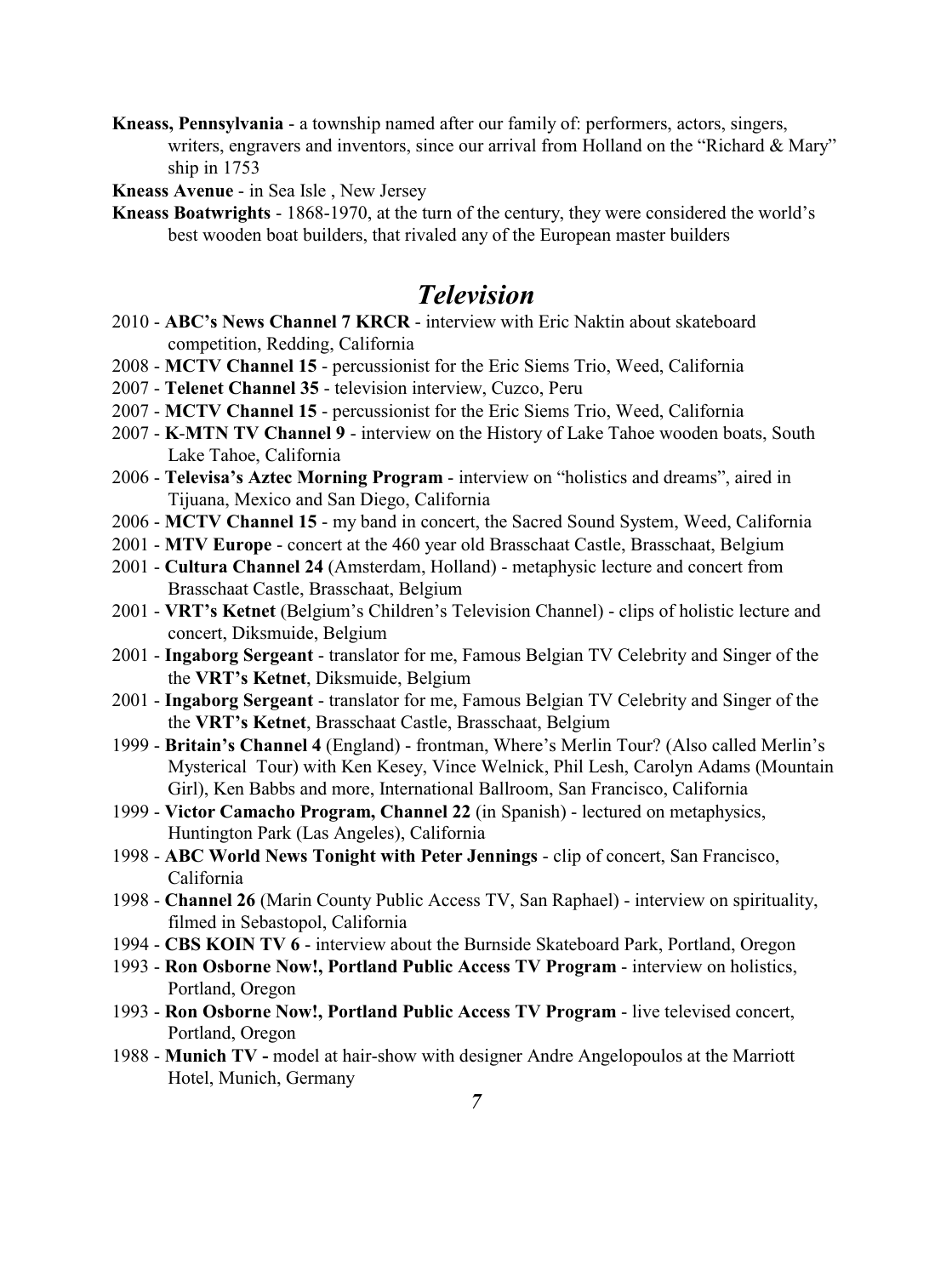- **Kneass, Pennsylvania**  a township named after our family of: performers, actors, singers, writers, engravers and inventors, since our arrival from Holland on the "Richard & Mary" ship in 1753
- **Kneass Avenue** in Sea Isle , New Jersey
- **Kneass Boatwrights** 1868-1970, at the turn of the century, they were considered the world's best wooden boat builders, that rivaled any of the European master builders

## *Television*

- 2010 - **ABC's News Channel 7 KRCR** interview with Eric Naktin about skateboard competition, Redding, California
- 2008 **MCTV Channel 15**  percussionist for the Eric Siems Trio, Weed, California
- 2007 **Telenet Channel 35** television interview, Cuzco, Peru
- 2007 **MCTV Channel 15**  percussionist for the Eric Siems Trio, Weed, California
- 2007 **K**-**MTN TV Channel 9**  interview on the History of Lake Tahoe wooden boats, South Lake Tahoe, California
- 2006 **Televisa's Aztec Morning Program** interview on "holistics and dreams", aired in Tijuana, Mexico and San Diego, California
- 2006 **MCTV Channel 15**  my band in concert, the Sacred Sound System, Weed, California
- 2001 **MTV Europe**  concert at the 460 year old Brasschaat Castle, Brasschaat, Belgium
- 2001 **Cultura Channel 24** (Amsterdam, Holland) metaphysic lecture and concert from Brasschaat Castle, Brasschaat, Belgium
- 2001 **VRT's Ketnet** (Belgium's Children's Television Channel) clips of holistic lecture and concert, Diksmuide, Belgium
- 2001 **Ingaborg Sergeant**  translator for me, Famous Belgian TV Celebrity and Singer of the the **VRT's Ketnet**, Diksmuide, Belgium
- 2001 **Ingaborg Sergeant**  translator for me, Famous Belgian TV Celebrity and Singer of the the **VRT's Ketnet**, Brasschaat Castle, Brasschaat, Belgium
- 1999 **Britain's Channel 4** (England) frontman, Where's Merlin Tour? (Also called Merlin's Mysterical Tour) with Ken Kesey, Vince Welnick, Phil Lesh, Carolyn Adams (Mountain Girl), Ken Babbs and more, International Ballroom, San Francisco, California
- 1999 **Victor Camacho Program, Channel 22** (in Spanish) lectured on metaphysics, Huntington Park (Las Angeles), California
- 1998 **ABC World News Tonight with Peter Jennings**  clip of concert, San Francisco, California
- 1998 **Channel 26** (Marin County Public Access TV, San Raphael) interview on spirituality, filmed in Sebastopol, California
- 1994 **CBS KOIN TV 6**  interview about the Burnside Skateboard Park, Portland, Oregon
- 1993 **Ron Osborne Now!, Portland Public Access TV Program** interview on holistics, Portland, Oregon
- 1993 **Ron Osborne Now!, Portland Public Access TV Program**  live televised concert, Portland, Oregon
- 1988 **Munich TV** model at hair-show with designer Andre Angelopoulos at the Marriott Hotel, Munich, Germany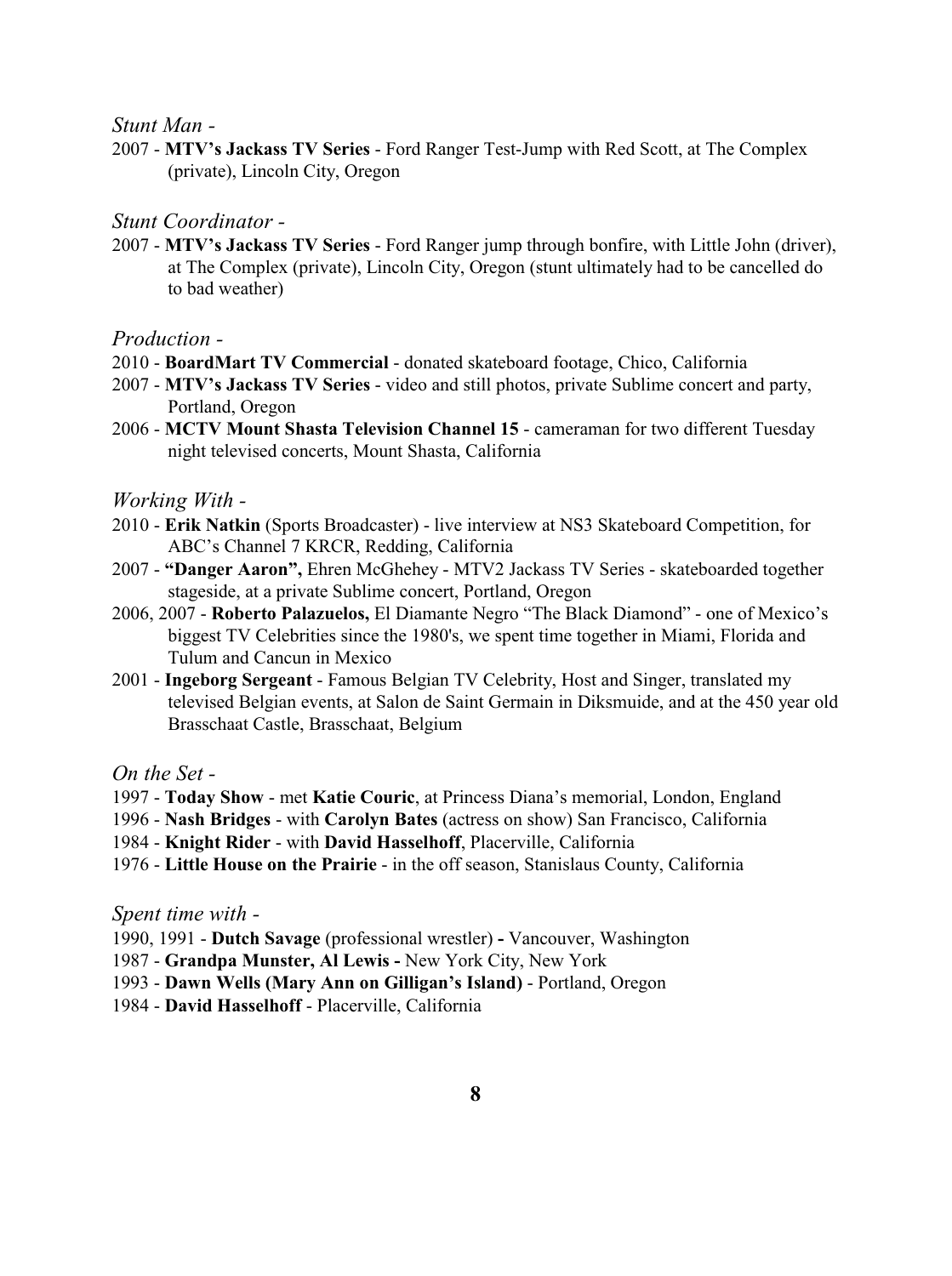*Stunt Man -*

2007 - **MTV's Jackass TV Series** - Ford Ranger Test-Jump with Red Scott, at The Complex (private), Lincoln City, Oregon

*Stunt Coordinator -*

2007 - **MTV's Jackass TV Series** - Ford Ranger jump through bonfire, with Little John (driver), at The Complex (private), Lincoln City, Oregon (stunt ultimately had to be cancelled do to bad weather)

*Production -*

- 2010 **BoardMart TV Commercial** donated skateboard footage, Chico, California
- 2007 **MTV's Jackass TV Series** video and still photos, private Sublime concert and party, Portland, Oregon
- 2006 - **MCTV Mount Shasta Television Channel 15**  cameraman for two different Tuesday night televised concerts, Mount Shasta, California

*Working With -* 

- 2010 **Erik Natkin** (Sports Broadcaster) live interview at NS3 Skateboard Competition, for ABC's Channel 7 KRCR, Redding, California
- 2007 - **"Danger Aaron",** Ehren McGhehey MTV2 Jackass TV Series skateboarded together stageside, at a private Sublime concert, Portland, Oregon
- 2006, 2007 **Roberto Palazuelos,** El Diamante Negro "The Black Diamond" one of Mexico's biggest TV Celebrities since the 1980's, we spent time together in Miami, Florida and Tulum and Cancun in Mexico
- 2001 **Ingeborg Sergeant**  Famous Belgian TV Celebrity, Host and Singer, translated my televised Belgian events, at Salon de Saint Germain in Diksmuide, and at the 450 year old Brasschaat Castle, Brasschaat, Belgium

*On the Set -*

- 1997 **Today Show** met **Katie Couric**, at Princess Diana's memorial, London, England
- 1996 **Nash Bridges** with **Carolyn Bates** (actress on show) San Francisco, California
- 1984 **Knight Rider** with **David Hasselhoff**, Placerville, California
- 1976 **Little House on the Prairie** in the off season, Stanislaus County, California

*Spent time with -*

- 1990, 1991 **Dutch Savage** (professional wrestler)Vancouver, Washington
- 1987 **Grandpa Munster, Al Lewis** New York City, New York
- 1993 **Dawn Wells (Mary Ann on Gilligan's Island)** Portland, Oregon
- 1984 **David Hasselhoff**  Placerville, California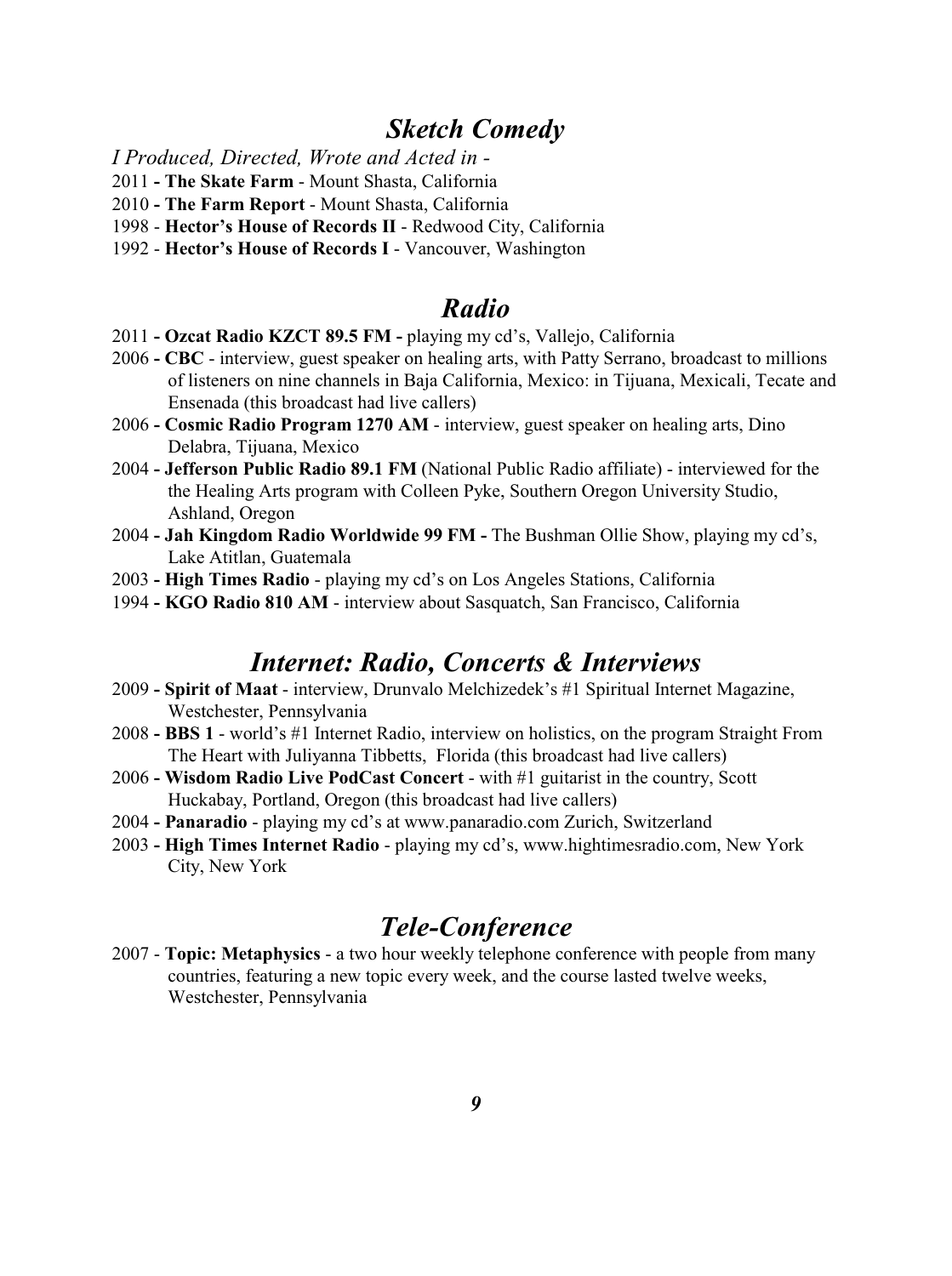### *Sketch Comedy*

*I Produced, Directed, Wrote and Acted in -* 

- 2011  **The Skate Farm** Mount Shasta, California
- 2010 **- The Farm Report** Mount Shasta, California
- 1998 **Hector's House of Records II** Redwood City, California
- 1992 **Hector's House of Records I** Vancouver, Washington

### *Radio*

- 2011 **Ozcat Radio KZCT 89.5 FM** playing my cd's, Vallejo, California
- 2006 **CBC**  interview, guest speaker on healing arts, with Patty Serrano, broadcast to millions of listeners on nine channels in Baja California, Mexico: in Tijuana, Mexicali, Tecate and Ensenada (this broadcast had live callers)
- 2006 **Cosmic Radio Program 1270 AM**  interview, guest speaker on healing arts, Dino Delabra, Tijuana, Mexico
- 2004  **Jefferson Public Radio 89.1 FM** (National Public Radio affiliate) interviewed for the the Healing Arts program with Colleen Pyke, Southern Oregon University Studio, Ashland, Oregon
- 2004 **Jah Kingdom Radio Worldwide 99 FM** The Bushman Ollie Show, playing my cd's, Lake Atitlan, Guatemala
- 2003 **High Times Radio**  playing my cd's on Los Angeles Stations, California
- 1994 **KGO Radio 810 AM** interview about Sasquatch, San Francisco, California

### *Internet: Radio, Concerts & Interviews*

- 2009 **Spirit of Maat**  interview, Drunvalo Melchizedek's #1 Spiritual Internet Magazine, Westchester, Pennsylvania
- 2008 **BBS 1** world's #1 Internet Radio, interview on holistics, on the program Straight From The Heart with Juliyanna Tibbetts, Florida (this broadcast had live callers)
- 2006  **Wisdom Radio Live PodCast Concert**  with #1 guitarist in the country, Scott Huckabay, Portland, Oregon (this broadcast had live callers)
- 2004  **Panaradio** playing my cd's at www.panaradio.com Zurich, Switzerland
- 2003 **High Times Internet Radio**  playing my cd's, www.hightimesradio.com, New York City, New York

# *Tele-Conference*

2007 - **Topic: Metaphysics** - a two hour weekly telephone conference with people from many countries, featuring a new topic every week, and the course lasted twelve weeks, Westchester, Pennsylvania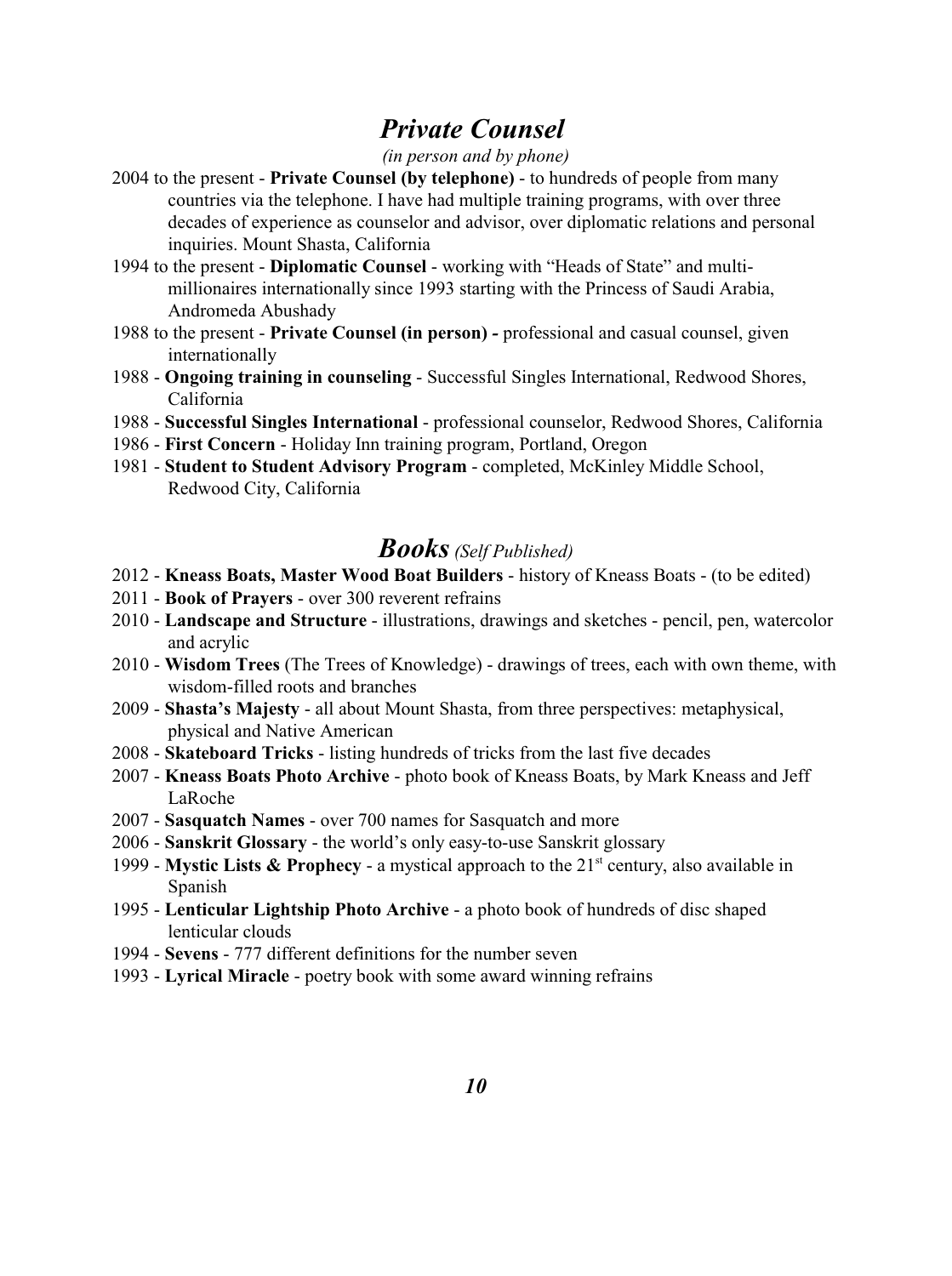# *Private Counsel*

#### *(in person and by phone)*

- 2004 to the present **Private Counsel (by telephone)**  to hundreds of people from many countries via the telephone. I have had multiple training programs, with over three decades of experience as counselor and advisor, over diplomatic relations and personal inquiries. Mount Shasta, California
- 1994 to the present **Diplomatic Counsel**  working with "Heads of State" and multimillionaires internationally since 1993 starting with the Princess of Saudi Arabia, Andromeda Abushady
- 1988 to the present **Private Counsel (in person)**professional and casual counsel, given internationally
- 1988 **Ongoing training in counseling** Successful Singles International, Redwood Shores, California
- 1988 **Successful Singles International**  professional counselor, Redwood Shores, California
- 1986 **First Concern**  Holiday Inn training program, Portland, Oregon
- 1981 **Student to Student Advisory Program**  completed, McKinley Middle School, Redwood City, California

### *Books(Self Published)*

- 2012 **Kneass Boats, Master Wood Boat Builders** history of Kneass Boats (to be edited)
- 2011 **Book of Prayers**  over 300 reverent refrains
- 2010 **Landscape and Structure**  illustrations, drawings and sketches pencil, pen, watercolor and acrylic
- 2010 **Wisdom Trees** (The Trees of Knowledge) drawings of trees, each with own theme, with wisdom-filled roots and branches
- 2009 **Shasta's Majesty**  all about Mount Shasta, from three perspectives: metaphysical, physical and Native American
- 2008 **Skateboard Tricks**  listing hundreds of tricks from the last five decades
- 2007 **Kneass Boats Photo Archive** photo book of Kneass Boats, by Mark Kneass and Jeff LaRoche
- 2007 **Sasquatch Names**  over 700 names for Sasquatch and more
- 2006 **Sanskrit Glossary**  the world's only easy-to-use Sanskrit glossary
- 1999 Mystic Lists & Prophecy a mystical approach to the  $21<sup>st</sup>$  century, also available in Spanish
- 1995 **Lenticular Lightship Photo Archive**  a photo book of hundreds of disc shaped lenticular clouds
- 1994 - **Sevens**  777 different definitions for the number seven
- 1993 **Lyrical Miracle**  poetry book with some award winning refrains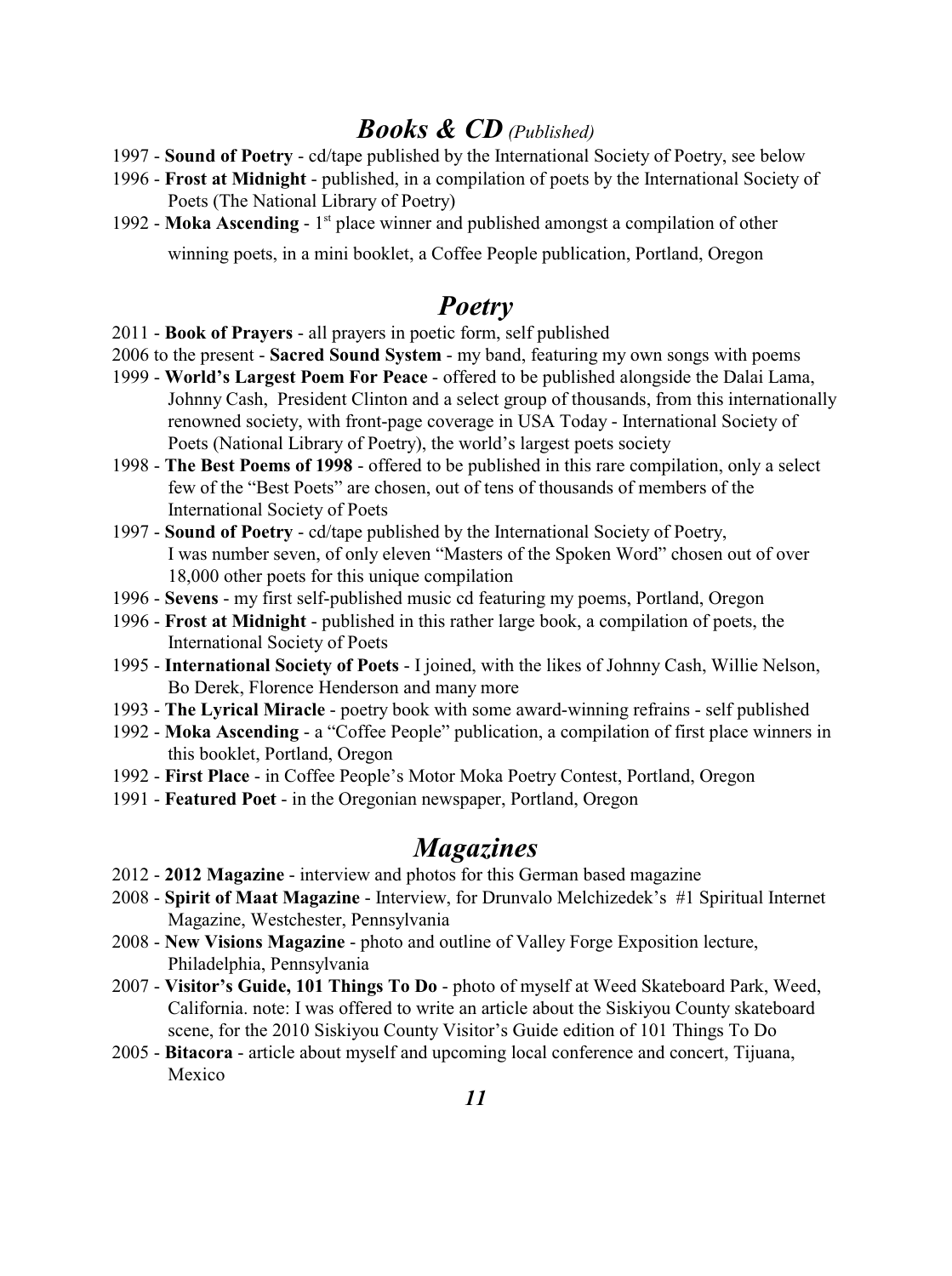### *Books & CD (Published)*

- 1997 - **Sound of Poetry**  cd/tape published by the International Society of Poetry, see below
- 1996 **Frost at Midnight**  published, in a compilation of poets by the International Society of Poets (The National Library of Poetry)
- 1992 **Moka Ascending**  $1<sup>st</sup>$  place winner and published amongst a compilation of other winning poets, in a mini booklet, a Coffee People publication, Portland, Oregon

# *Poetry*

- 2011 - **Book of Prayers**  all prayers in poetic form, self published
- 2006 to the present **Sacred Sound System** my band, featuring my own songs with poems
- 1999 **World's Largest Poem For Peace** offered to be published alongside the Dalai Lama, Johnny Cash, President Clinton and a select group of thousands, from this internationally renowned society, with front-page coverage in USA Today - International Society of Poets (National Library of Poetry), the world's largest poets society
- 1998 **The Best Poems of 1998**  offered to be published in this rare compilation, only a select few of the "Best Poets" are chosen, out of tens of thousands of members of the International Society of Poets
- 1997 - **Sound of Poetry**  cd/tape published by the International Society of Poetry, I was number seven, of only eleven "Masters of the Spoken Word" chosen out of over 18,000 other poets for this unique compilation
- 1996 **Sevens**  my first self-published music cd featuring my poems, Portland, Oregon
- 1996 - **Frost at Midnight**  published in this rather large book, a compilation of poets, the International Society of Poets
- 1995 **International Society of Poets** I joined, with the likes of Johnny Cash, Willie Nelson, Bo Derek, Florence Henderson and many more
- 1993 **The Lyrical Miracle** poetry book with some award-winning refrains self published
- 1992 - **Moka Ascending**  a "Coffee People" publication, a compilation of first place winners in this booklet, Portland, Oregon
- 1992 **First Place**  in Coffee People's Motor Moka Poetry Contest, Portland, Oregon
- 1991 **Featured Poet**  in the Oregonian newspaper, Portland, Oregon

### *Magazines*

- 2012 **2012 Magazine**  interview and photos for this German based magazine
- 2008 **Spirit of Maat Magazine**  Interview, for Drunvalo Melchizedek's #1 Spiritual Internet Magazine, Westchester, Pennsylvania
- 2008 **New Visions Magazine**  photo and outline of Valley Forge Exposition lecture, Philadelphia, Pennsylvania
- 2007 **Visitor's Guide, 101 Things To Do** photo of myself at Weed Skateboard Park, Weed, California. note: I was offered to write an article about the Siskiyou County skateboard scene, for the 2010 Siskiyou County Visitor's Guide edition of 101 Things To Do
- 2005 **Bitacora**  article about myself and upcoming local conference and concert, Tijuana, Mexico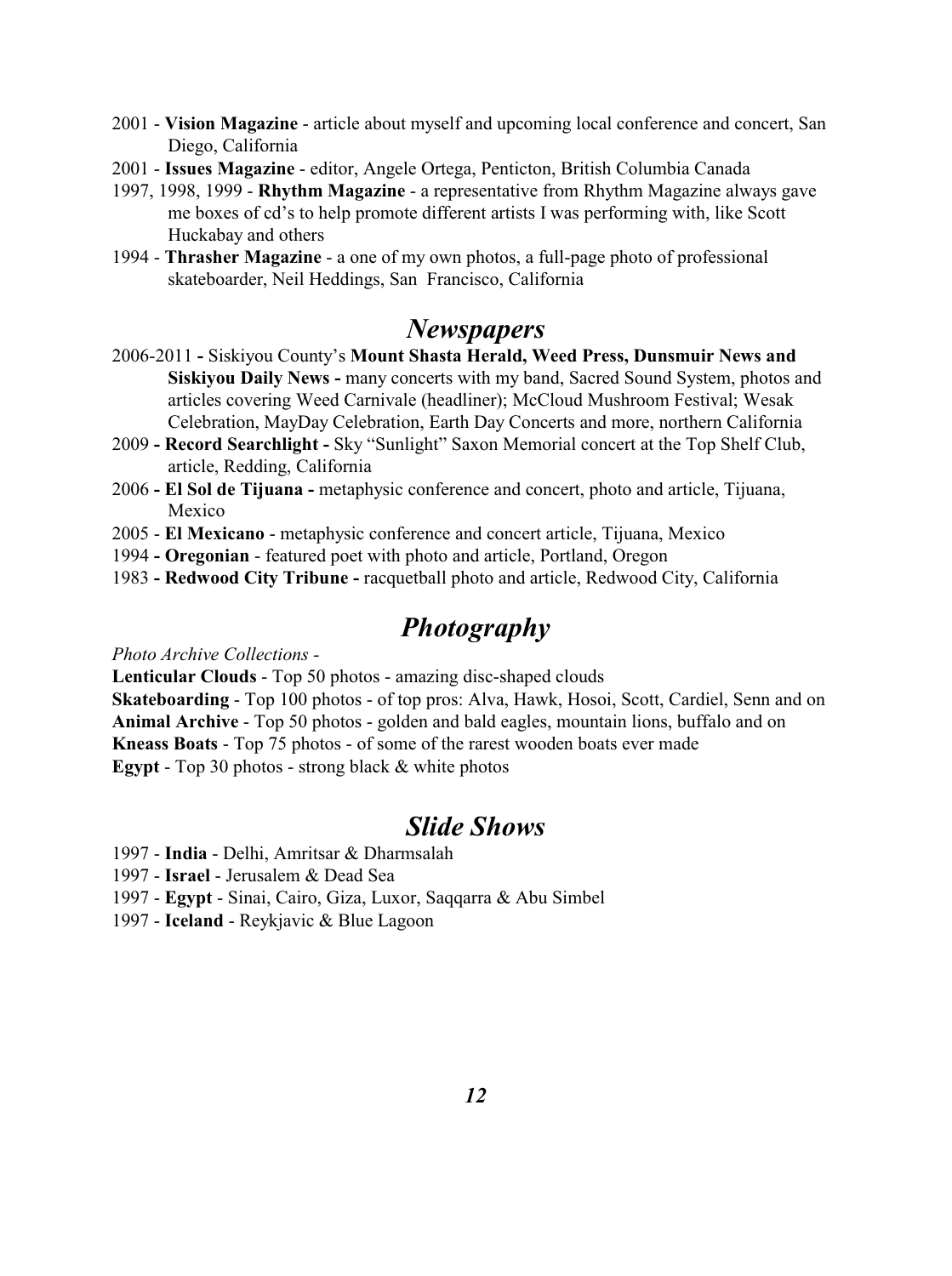- 2001 **Vision Magazine** article about myself and upcoming local conference and concert, San Diego, California
- 2001 **Issues Magazine** editor, Angele Ortega, Penticton, British Columbia Canada
- 1997, 1998, 1999 **Rhythm Magazine**  a representative from Rhythm Magazine always gave me boxes of cd's to help promote different artists I was performing with, like Scott Huckabay and others
- 1994 **Thrasher Magazine** a one of my own photos, a full-page photo of professional skateboarder, Neil Heddings, San Francisco, California

### *Newspapers*

- 2006-2011Siskiyou County's **Mount Shasta Herald, Weed Press, Dunsmuir News and Siskiyou Daily News -** many concerts with my band, Sacred Sound System, photos and articles covering Weed Carnivale (headliner); McCloud Mushroom Festival; Wesak Celebration, MayDay Celebration, Earth Day Concerts and more, northern California
- 2009  **Record Searchlight** Sky "Sunlight" Saxon Memorial concert at the Top Shelf Club, article, Redding, California
- 2006  **El Sol de Tijuana** metaphysic conference and concert, photo and article, Tijuana, Mexico
- 2005 **El Mexicano**  metaphysic conference and concert article, Tijuana, Mexico
- 1994  **Oregonian**  featured poet with photo and article, Portland, Oregon
- 1983  **Redwood City Tribune** racquetball photo and article, Redwood City, California

### *Photography*

*Photo Archive Collections -*

**Lenticular Clouds** - Top 50 photos - amazing disc-shaped clouds

**Skateboarding** - Top 100 photos - of top pros: Alva, Hawk, Hosoi, Scott, Cardiel, Senn and on **Animal Archive** - Top 50 photos - golden and bald eagles, mountain lions, buffalo and on **Kneass Boats** - Top 75 photos - of some of the rarest wooden boats ever made **Egypt** - Top 30 photos - strong black & white photos

# *Slide Shows*

- 1997 **India** Delhi, Amritsar & Dharmsalah
- 1997 **Israel** Jerusalem & Dead Sea
- 1997 **Egypt**  Sinai, Cairo, Giza, Luxor, Saqqarra & Abu Simbel
- 1997 - **Iceland**  Reykjavic & Blue Lagoon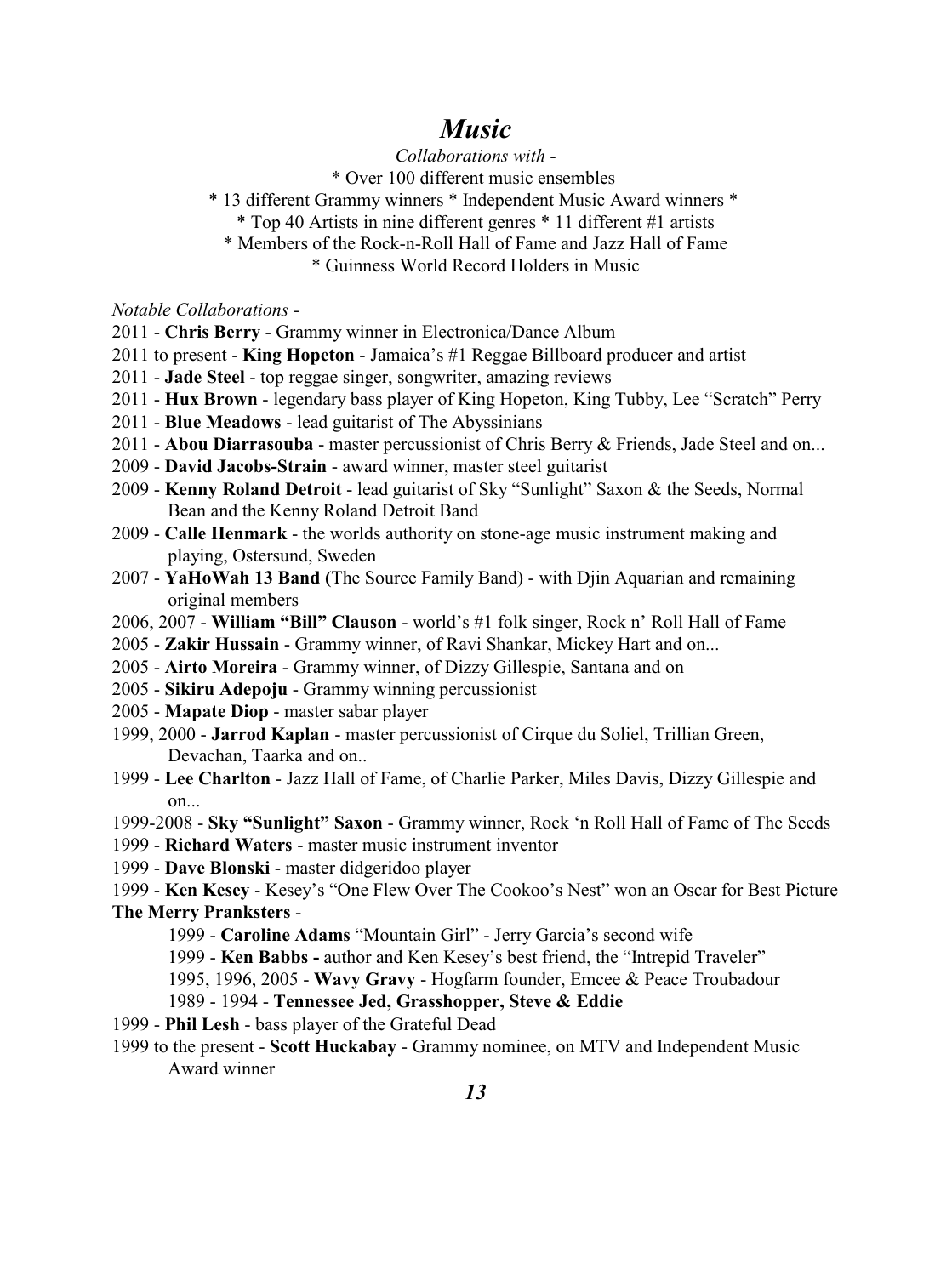### *Music*

*Collaborations with -*

\* Over 100 different music ensembles

- \* 13 different Grammy winners \* Independent Music Award winners \*
	- \* Top 40 Artists in nine different genres \* 11 different #1 artists
	- \* Members of the Rock-n-Roll Hall of Fame and Jazz Hall of Fame

\* Guinness World Record Holders in Music

*Notable Collaborations -* 

- 2011 - **Chris Berry**  Grammy winner in Electronica/Dance Album
- 2011 to present - **King Hopeton** Jamaica's #1 Reggae Billboard producer and artist
- 2011 **Jade Steel** top reggae singer, songwriter, amazing reviews
- 2011 **Hux Brown**  legendary bass player of King Hopeton, King Tubby, Lee "Scratch" Perry
- 2011 **Blue Meadows**  lead guitarist of The Abyssinians
- 2011 - **Abou Diarrasouba** master percussionist of Chris Berry & Friends, Jade Steel and on...
- 2009 **David Jacobs-Strain** award winner, master steel guitarist
- 2009 **Kenny Roland Detroit** lead guitarist of Sky "Sunlight" Saxon & the Seeds, Normal Bean and the Kenny Roland Detroit Band
- 2009 - **Calle Henmark** the worlds authority on stone-age music instrument making and playing, Ostersund, Sweden
- 2007 **YaHoWah 13 Band (**The Source Family Band) with Djin Aquarian and remaining original members
- 2006, 2007 - **William "Bill" Clauson** world's #1 folk singer, Rock n' Roll Hall of Fame
- 2005 **Zakir Hussain** Grammy winner, of Ravi Shankar, Mickey Hart and on...
- 2005 - **Airto Moreira**  Grammy winner, of Dizzy Gillespie, Santana and on
- 2005 **Sikiru Adepoju**  Grammy winning percussionist
- 2005 - **Mapate Diop**  master sabar player
- 1999, 2000 **Jarrod Kaplan** master percussionist of Cirque du Soliel, Trillian Green, Devachan, Taarka and on..
- 1999 - **Lee Charlton** Jazz Hall of Fame, of Charlie Parker, Miles Davis, Dizzy Gillespie and on...
- 1999-2008 **Sky "Sunlight" Saxon**  Grammy winner, Rock 'n Roll Hall of Fame of The Seeds
- 1999 **Richard Waters** master music instrument inventor
- 1999 - **Dave Blonski** master didgeridoo player

1999 - **Ken Kesey** - Kesey's "One Flew Over The Cookoo's Nest" won an Oscar for Best Picture **The Merry Pranksters** -

- 1999 **Caroline Adams** "Mountain Girl" Jerry Garcia's second wife
- 1999 **Ken Babbs -** author and Ken Kesey's best friend, the "Intrepid Traveler"
- 1995, 1996, 2005 **Wavy Gravy** Hogfarm founder, Emcee & Peace Troubadour

#### 1989 - 1994 - **Tennessee Jed, Grasshopper, Steve & Eddie**

- 1999 **Phil Lesh** bass player of the Grateful Dead
- 1999 to the present **Scott Huckabay** Grammy nominee, on MTV and Independent Music Award winner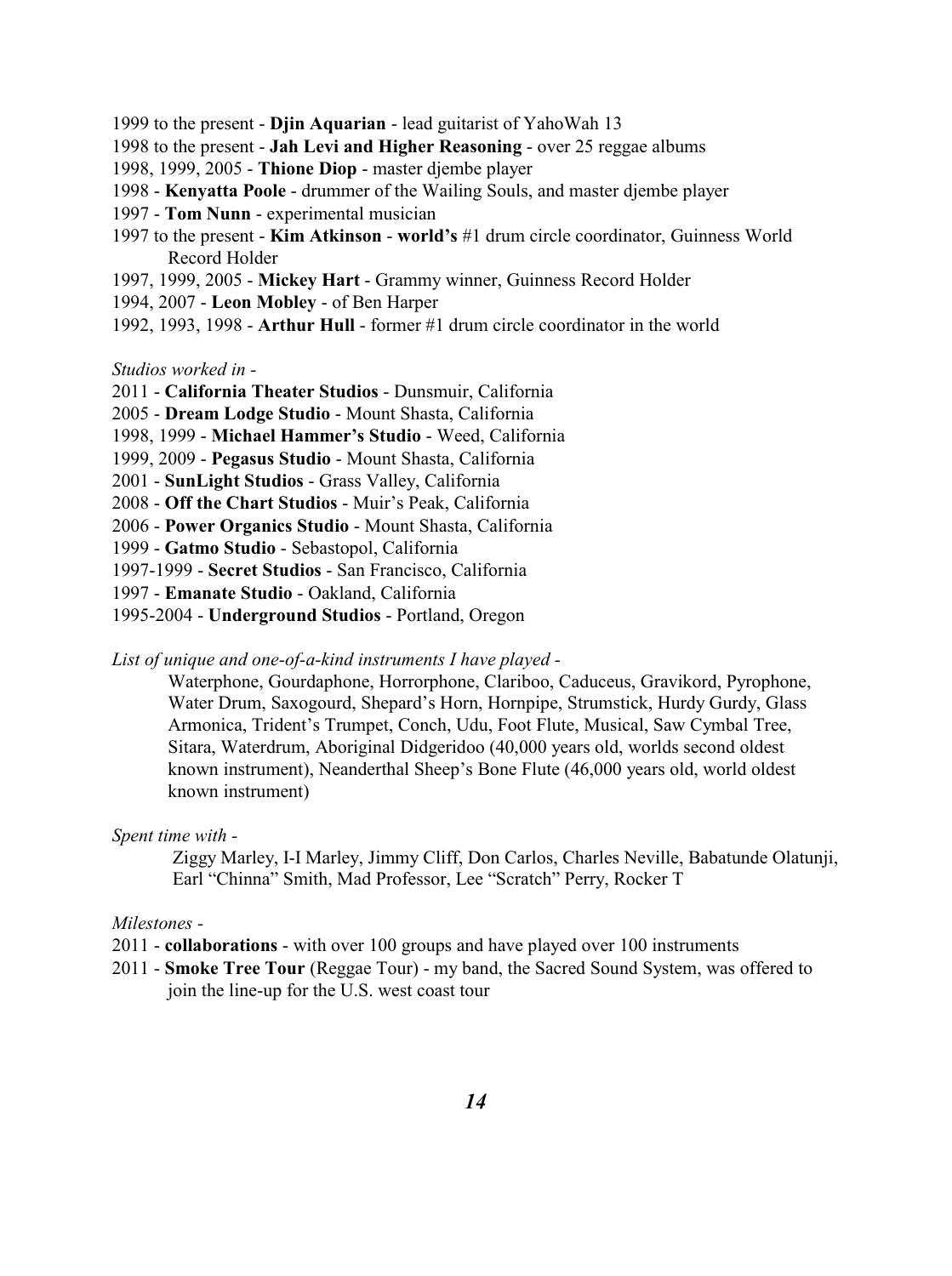- 1999 to the present **Djin Aquarian** lead guitarist of YahoWah 13
- 1998 to the present **Jah Levi and Higher Reasoning** over 25 reggae albums
- 1998, 1999, 2005 - **Thione Diop** master djembe player
- 1998 **Kenyatta Poole** drummer of the Wailing Souls, and master djembe player
- 1997 **Tom Nunn**  experimental musician
- 1997 to the present **Kim Atkinson** - **world's** #1 drum circle coordinator, Guinness World Record Holder
- 1997, 1999, 2005 - **Mickey Hart** Grammy winner, Guinness Record Holder
- 1994, 2007 **Leon Mobley** of Ben Harper
- 1992, 1993, 1998 **Arthur Hull** former #1 drum circle coordinator in the world

#### *Studios worked in -*

- 2011 **California Theater Studios**  Dunsmuir, California
- 2005 **Dream Lodge Studio** Mount Shasta, California
- 1998, 1999 **Michael Hammer's Studio**  Weed, California
- 1999, 2009 **Pegasus Studio**  Mount Shasta, California
- 2001 **SunLight Studios**  Grass Valley, California
- 2008 **Off the Chart Studios**  Muir's Peak, California
- 2006 **Power Organics Studio**  Mount Shasta, California
- 1999 **Gatmo Studio** Sebastopol, California
- 1997-1999 **Secret Studios**  San Francisco, California
- 1997 **Emanate Studio**  Oakland, California
- 1995-2004 **Underground Studios**  Portland, Oregon

*List of unique and one-of-a-kind instruments I have played -*

Waterphone, Gourdaphone, Horrorphone, Clariboo, Caduceus, Gravikord, Pyrophone, Water Drum, Saxogourd, Shepard's Horn, Hornpipe, Strumstick, Hurdy Gurdy, Glass Armonica, Trident's Trumpet, Conch, Udu, Foot Flute, Musical, Saw Cymbal Tree, Sitara, Waterdrum, Aboriginal Didgeridoo (40,000 years old, worlds second oldest known instrument), Neanderthal Sheep's Bone Flute (46,000 years old, world oldest known instrument)

#### *Spent time with -*

 Ziggy Marley, I-I Marley, Jimmy Cliff, Don Carlos, Charles Neville, Babatunde Olatunji, Earl "Chinna" Smith, Mad Professor, Lee "Scratch" Perry, Rocker T

#### *Milestones -*

2011 - **collaborations** - with over 100 groups and have played over 100 instruments

2011 - **Smoke Tree Tour** (Reggae Tour) - my band, the Sacred Sound System, was offered to join the line-up for the U.S. west coast tour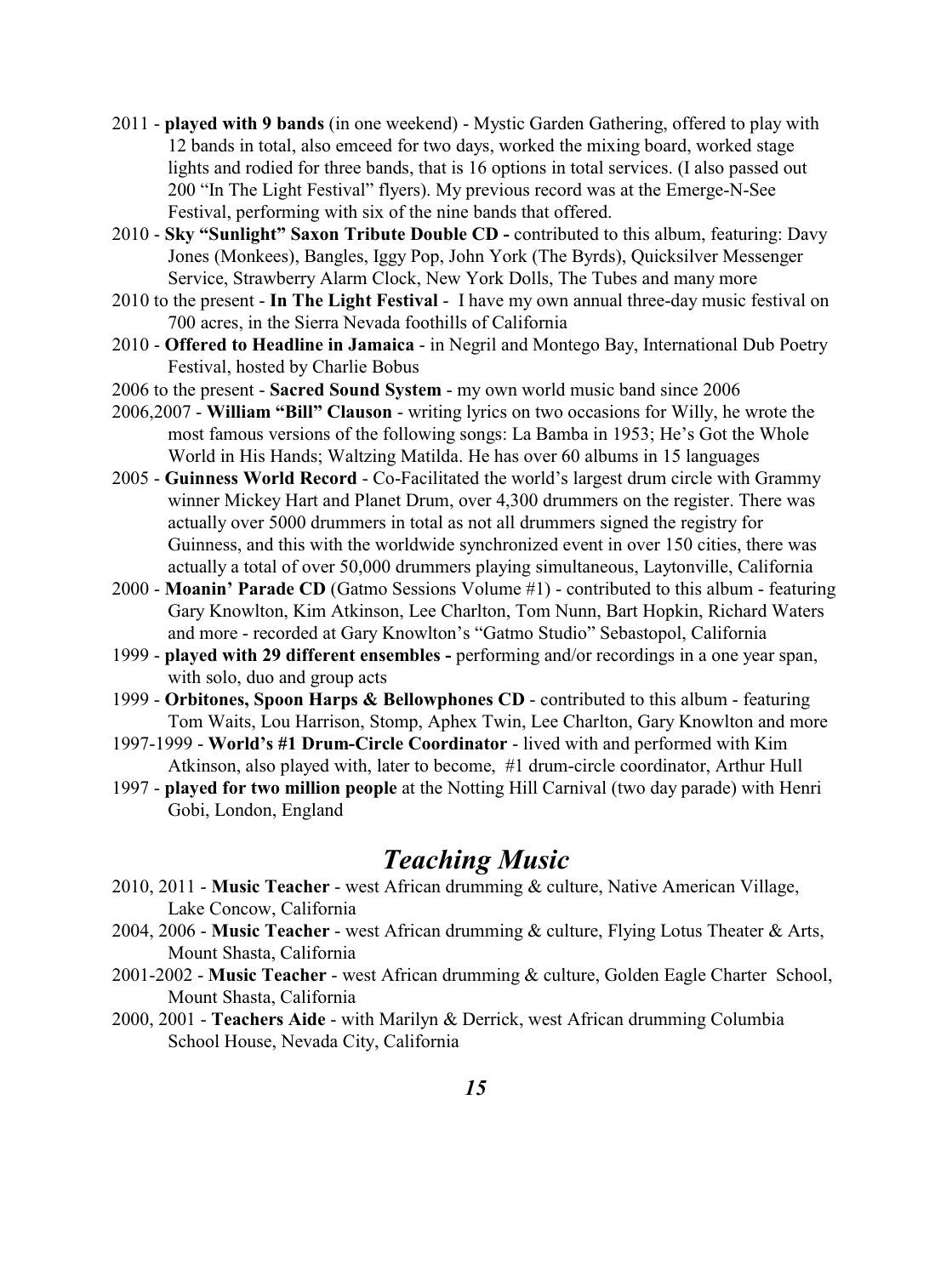- 2011 - **played with 9 bands** (in one weekend) Mystic Garden Gathering, offered to play with 12 bands in total, also emceed for two days, worked the mixing board, worked stage lights and rodied for three bands, that is 16 options in total services. (I also passed out 200 "In The Light Festival" flyers). My previous record was at the Emerge-N-See Festival, performing with six of the nine bands that offered.
- 2010 - **Sky "Sunlight" Saxon Tribute Double CD -** contributed to this album, featuring: Davy Jones (Monkees), Bangles, Iggy Pop, John York (The Byrds), Quicksilver Messenger Service, Strawberry Alarm Clock, New York Dolls, The Tubes and many more
- 2010 to the present - **In The Light Festival**  I have my own annual three-day music festival on 700 acres, in the Sierra Nevada foothills of California
- 2010 **Offered to Headline in Jamaica**  in Negril and Montego Bay, International Dub Poetry Festival, hosted by Charlie Bobus
- 2006 to the present **Sacred Sound System** my own world music band since 2006
- 2006,2007 **William "Bill" Clauson**  writing lyrics on two occasions for Willy, he wrote the most famous versions of the following songs: La Bamba in 1953; He's Got the Whole World in His Hands; Waltzing Matilda. He has over 60 albums in 15 languages
- 2005 **Guinness World Record**  Co-Facilitated the world's largest drum circle with Grammy winner Mickey Hart and Planet Drum, over 4,300 drummers on the register. There was actually over 5000 drummers in total as not all drummers signed the registry for Guinness, and this with the worldwide synchronized event in over 150 cities, there was actually a total of over 50,000 drummers playing simultaneous, Laytonville, California
- 2000 **Moanin' Parade CD** (Gatmo Sessions Volume #1) contributed to this album featuring Gary Knowlton, Kim Atkinson, Lee Charlton, Tom Nunn, Bart Hopkin, Richard Waters and more - recorded at Gary Knowlton's "Gatmo Studio" Sebastopol, California
- 1999 **played with 29 different ensembles** performing and/or recordings in a one year span, with solo, duo and group acts
- 1999 **Orbitones, Spoon Harps & Bellowphones CD**  contributed to this album featuring Tom Waits, Lou Harrison, Stomp, Aphex Twin, Lee Charlton, Gary Knowlton and more
- 1997-1999 **World's #1 Drum-Circle Coordinator**  lived with and performed with Kim Atkinson, also played with, later to become, #1 drum-circle coordinator, Arthur Hull
- 1997 **played for two million people** at the Notting Hill Carnival (two day parade) with Henri Gobi, London, England

### *Teaching Music*

- 2010, 2011 **Music Teacher** west African drumming & culture, Native American Village, Lake Concow, California
- 2004, 2006 **Music Teacher** west African drumming & culture, Flying Lotus Theater & Arts, Mount Shasta, California
- 2001-2002 **Music Teacher** west African drumming & culture, Golden Eagle Charter School, Mount Shasta, California
- 2000, 2001 **Teachers Aide**  with Marilyn & Derrick, west African drumming Columbia School House, Nevada City, California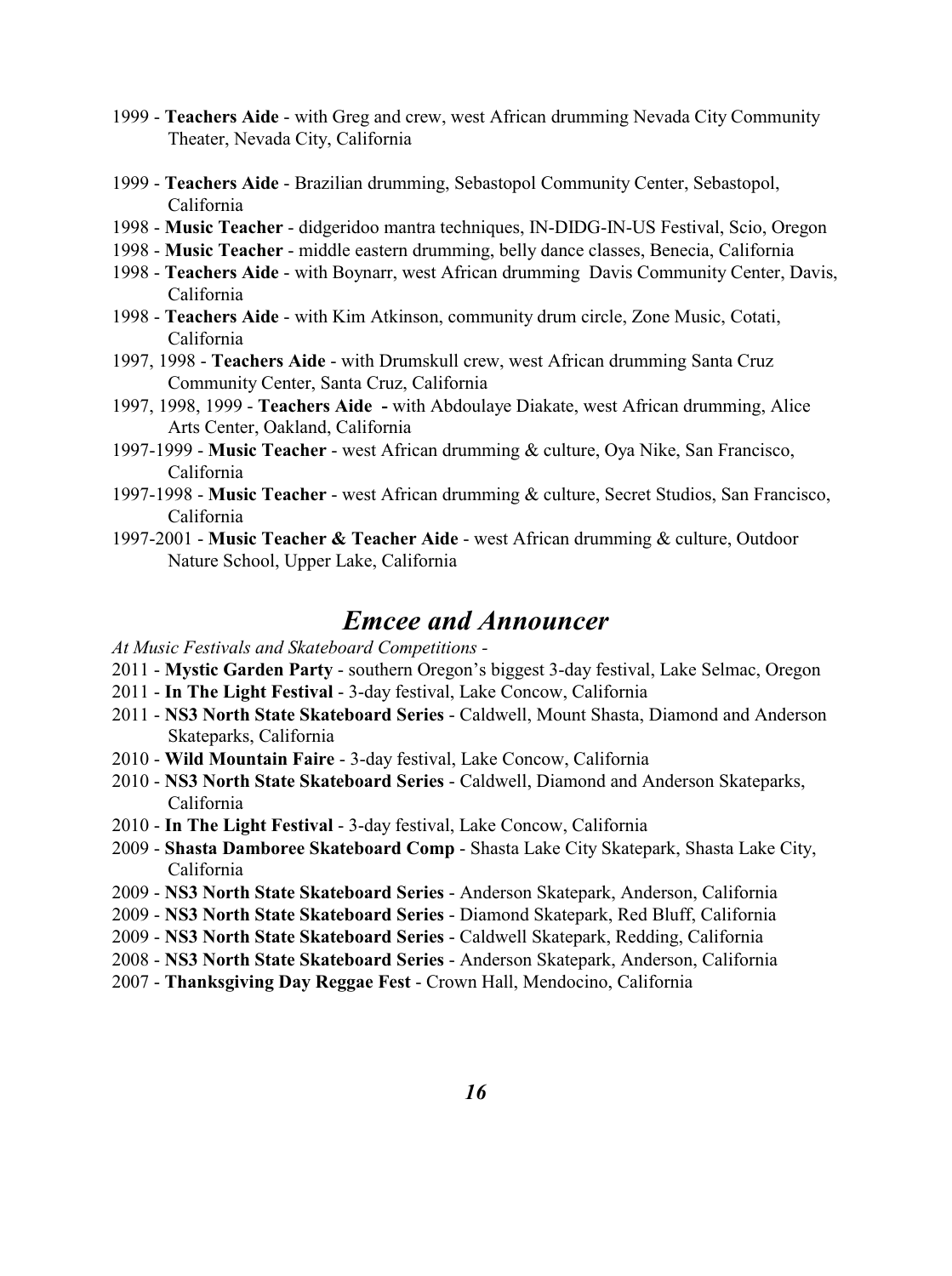- 1999 **Teachers Aide**  with Greg and crew, west African drumming Nevada City Community Theater, Nevada City, California
- 1999 **Teachers Aide**  Brazilian drumming, Sebastopol Community Center, Sebastopol, California
- 1998 - **Music Teacher** didgeridoo mantra techniques, IN-DIDG-IN-US Festival, Scio, Oregon
- 1998 **Music Teacher** middle eastern drumming, belly dance classes, Benecia, California
- 1998 **Teachers Aide**  with Boynarr, west African drumming Davis Community Center, Davis, California
- 1998 **Teachers Aide**  with Kim Atkinson, community drum circle, Zone Music, Cotati, California
- 1997, 1998 **Teachers Aide**  with Drumskull crew, west African drumming Santa Cruz Community Center, Santa Cruz, California
- 1997, 1998, 1999 **Teachers Aide** with Abdoulaye Diakate, west African drumming, Alice Arts Center, Oakland, California
- 1997-1999 **Music Teacher** west African drumming & culture, Oya Nike, San Francisco, California
- 1997-1998 **Music Teacher** west African drumming & culture, Secret Studios, San Francisco, California
- 1997-2001 **Music Teacher & Teacher Aide**  west African drumming & culture, Outdoor Nature School, Upper Lake, California

### *Emcee and Announcer*

*At Music Festivals and Skateboard Competitions -*

- 2011 **Mystic Garden Party**  southern Oregon's biggest 3-day festival, Lake Selmac, Oregon
- 2011 **In The Light Festival** 3-day festival, Lake Concow, California
- 2011 **NS3 North State Skateboard Series**  Caldwell, Mount Shasta, Diamond and Anderson Skateparks, California
- 2010 **Wild Mountain Faire**  3-day festival, Lake Concow, California
- 2010 **NS3 North State Skateboard Series**  Caldwell, Diamond and Anderson Skateparks, California
- 2010 **In The Light Festival** 3-day festival, Lake Concow, California
- 2009 **Shasta Damboree Skateboard Comp** Shasta Lake City Skatepark, Shasta Lake City, California
- 2009 **NS3 North State Skateboard Series**  Anderson Skatepark, Anderson, California
- 2009 - **NS3 North State Skateboard Series**  Diamond Skatepark, Red Bluff, California
- 2009 - **NS3 North State Skateboard Series**  Caldwell Skatepark, Redding, California
- 2008 **NS3 North State Skateboard Series**  Anderson Skatepark, Anderson, California
- 2007 **Thanksgiving Day Reggae Fest**  Crown Hall, Mendocino, California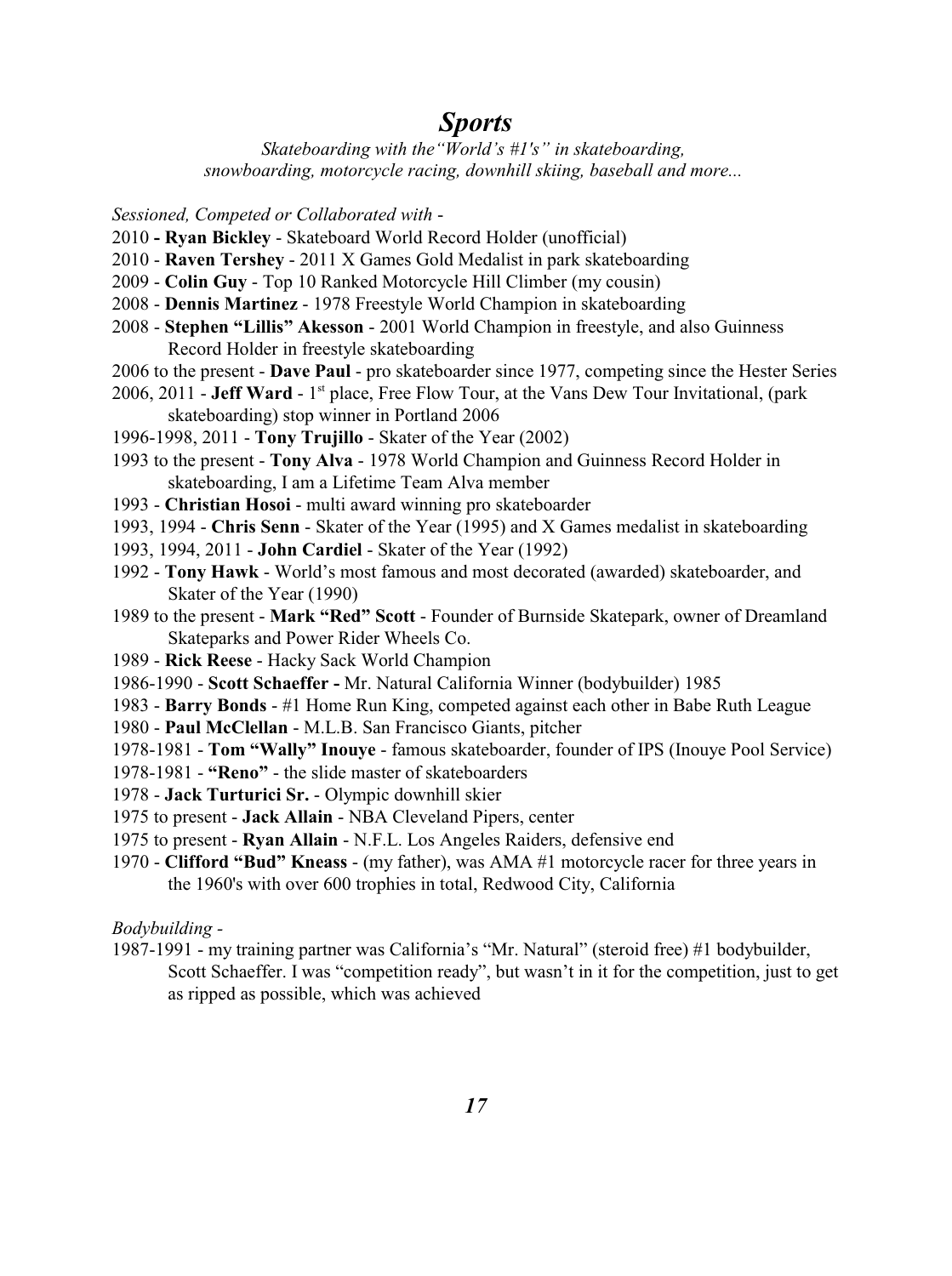### *Sports*

*Skateboarding with the"World's #1's" in skateboarding, snowboarding, motorcycle racing, downhill skiing, baseball and more...* 

*Sessioned, Competed or Collaborated with* -

- 2010 **Ryan Bickley**  Skateboard World Record Holder (unofficial)
- 2010 - **Raven Tershey**  2011 X Games Gold Medalist in park skateboarding
- 2009 **Colin Guy** Top 10 Ranked Motorcycle Hill Climber (my cousin)
- 2008 - **Dennis Martinez**  1978 Freestyle World Champion in skateboarding
- 2008 **Stephen "Lillis" Akesson**  2001 World Champion in freestyle, and also Guinness Record Holder in freestyle skateboarding
- 2006 to the present - **Dave Paul** pro skateboarder since 1977, competing since the Hester Series
- 2006, 2011 **Jeff Ward** 1<sup>st</sup> place, Free Flow Tour, at the Vans Dew Tour Invitational, (park skateboarding) stop winner in Portland 2006
- 1996-1998, 2011 **Tony Trujillo** Skater of the Year (2002)
- 1993 to the present **Tony Alva**  1978 World Champion and Guinness Record Holder in skateboarding, I am a Lifetime Team Alva member
- 1993 **Christian Hosoi**  multi award winning pro skateboarder
- 1993, 1994 **Chris Senn**  Skater of the Year (1995) and X Games medalist in skateboarding
- 1993, 1994, 2011 **John Cardiel**  Skater of the Year (1992)
- 1992 - **Tony Hawk**  World's most famous and most decorated (awarded) skateboarder, and Skater of the Year (1990)
- 1989 to the present - **Mark "Red" Scott**  Founder of Burnside Skatepark, owner of Dreamland Skateparks and Power Rider Wheels Co.
- 1989 **Rick Reese**  Hacky Sack World Champion
- 1986-1990 - **Scott Schaeffer** Mr. Natural California Winner (bodybuilder) 1985
- 1983 **Barry Bonds**  #1 Home Run King, competed against each other in Babe Ruth League
- 1980 **Paul McClellan**  M.L.B. San Francisco Giants, pitcher
- 1978-1981 **Tom "Wally" Inouye** famous skateboarder, founder of IPS (Inouye Pool Service)
- 1978-1981 - **"Reno"**  the slide master of skateboarders
- 1978 **Jack Turturici Sr.** Olympic downhill skier
- 1975 to present **Jack Allain** NBA Cleveland Pipers, center
- 1975 to present **Ryan Allain**  N.F.L. Los Angeles Raiders, defensive end
- 1970 **Clifford "Bud" Kneass**  (my father), was AMA #1 motorcycle racer for three years in the 1960's with over 600 trophies in total, Redwood City, California

#### *Bodybuilding -*

1987-1991 - my training partner was California's "Mr. Natural" (steroid free) #1 bodybuilder, Scott Schaeffer. I was "competition ready", but wasn't in it for the competition, just to get as ripped as possible, which was achieved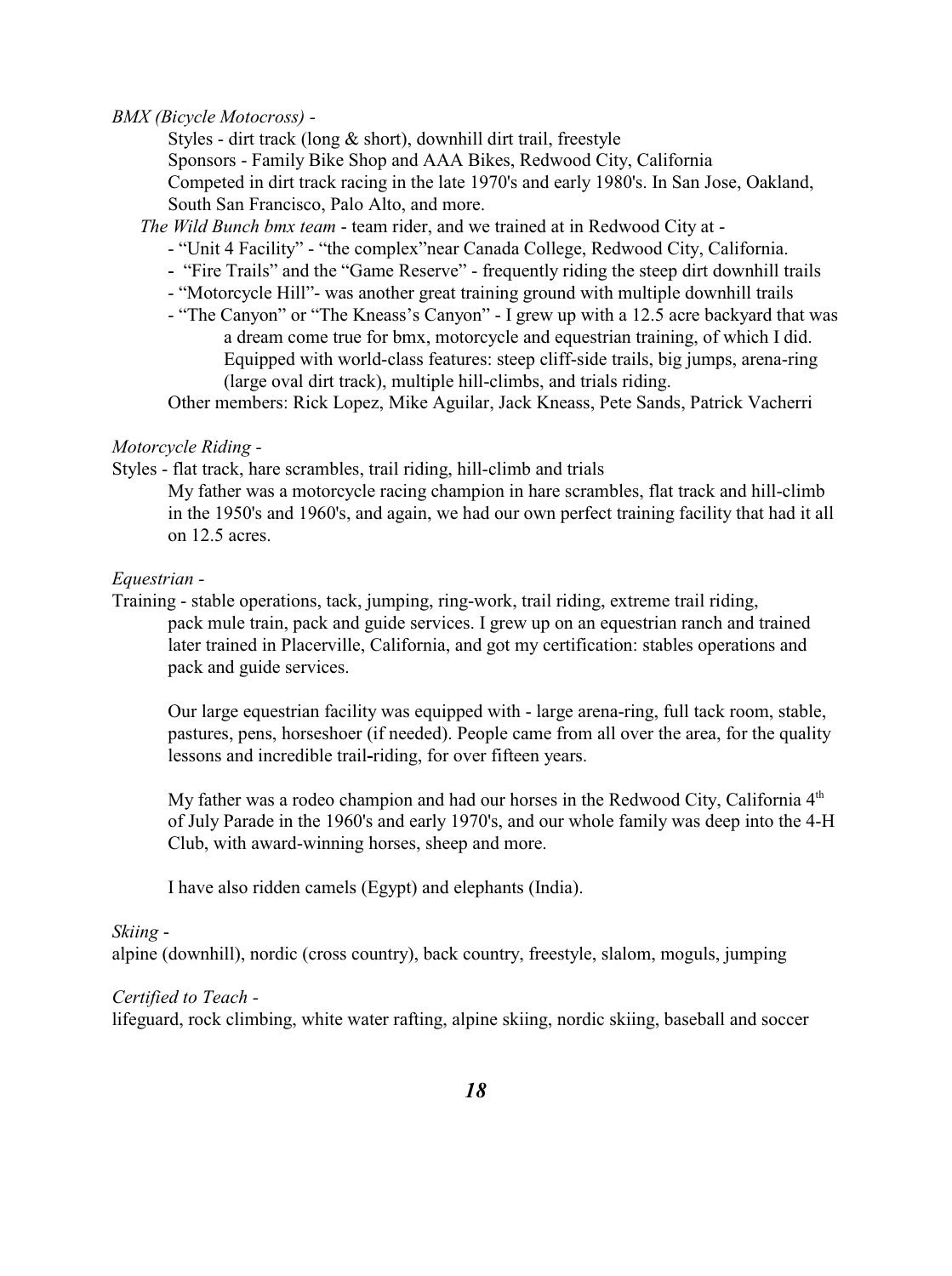#### *BMX (Bicycle Motocross) -*

Styles - dirt track (long & short), downhill dirt trail, freestyle

Sponsors - Family Bike Shop and AAA Bikes, Redwood City, California

Competed in dirt track racing in the late 1970's and early 1980's. In San Jose, Oakland, South San Francisco, Palo Alto, and more.

 *The Wild Bunch bmx team* - team rider, and we trained at in Redwood City at -

- "Unit 4 Facility" "the complex"near Canada College, Redwood City, California.
- -"Fire Trails" and the "Game Reserve" frequently riding the steep dirt downhill trails
- "Motorcycle Hill"- was another great training ground with multiple downhill trails
- "The Canyon" or "The Kneass's Canyon" I grew up with a 12.5 acre backyard that was a dream come true for bmx, motorcycle and equestrian training, of which I did. Equipped with world-class features: steep cliff-side trails, big jumps, arena-ring (large oval dirt track), multiple hill-climbs, and trials riding.

Other members: Rick Lopez, Mike Aguilar, Jack Kneass, Pete Sands, Patrick Vacherri

#### *Motorcycle Riding -*

Styles - flat track, hare scrambles, trail riding, hill-climb and trials

My father was a motorcycle racing champion in hare scrambles, flat track and hill-climb in the 1950's and 1960's, and again, we had our own perfect training facility that had it all on 12.5 acres.

#### *Equestrian -*

Training - stable operations, tack, jumping, ring-work, trail riding, extreme trail riding, pack mule train, pack and guide services. I grew up on an equestrian ranch and trained later trained in Placerville, California, and got my certification: stables operations and pack and guide services.

Our large equestrian facility was equipped with - large arena-ring, full tack room, stable, pastures, pens, horseshoer (if needed). People came from all over the area, for the quality lessons and incredible trail**-**riding, for over fifteen years.

My father was a rodeo champion and had our horses in the Redwood City, California  $4<sup>th</sup>$ of July Parade in the 1960's and early 1970's, and our whole family was deep into the 4-H Club, with award-winning horses, sheep and more.

I have also ridden camels (Egypt) and elephants (India).

#### *Skiing* -

alpine (downhill), nordic (cross country), back country, freestyle, slalom, moguls, jumping

#### *Certified to Teach -*

lifeguard, rock climbing, white water rafting, alpine skiing, nordic skiing, baseball and soccer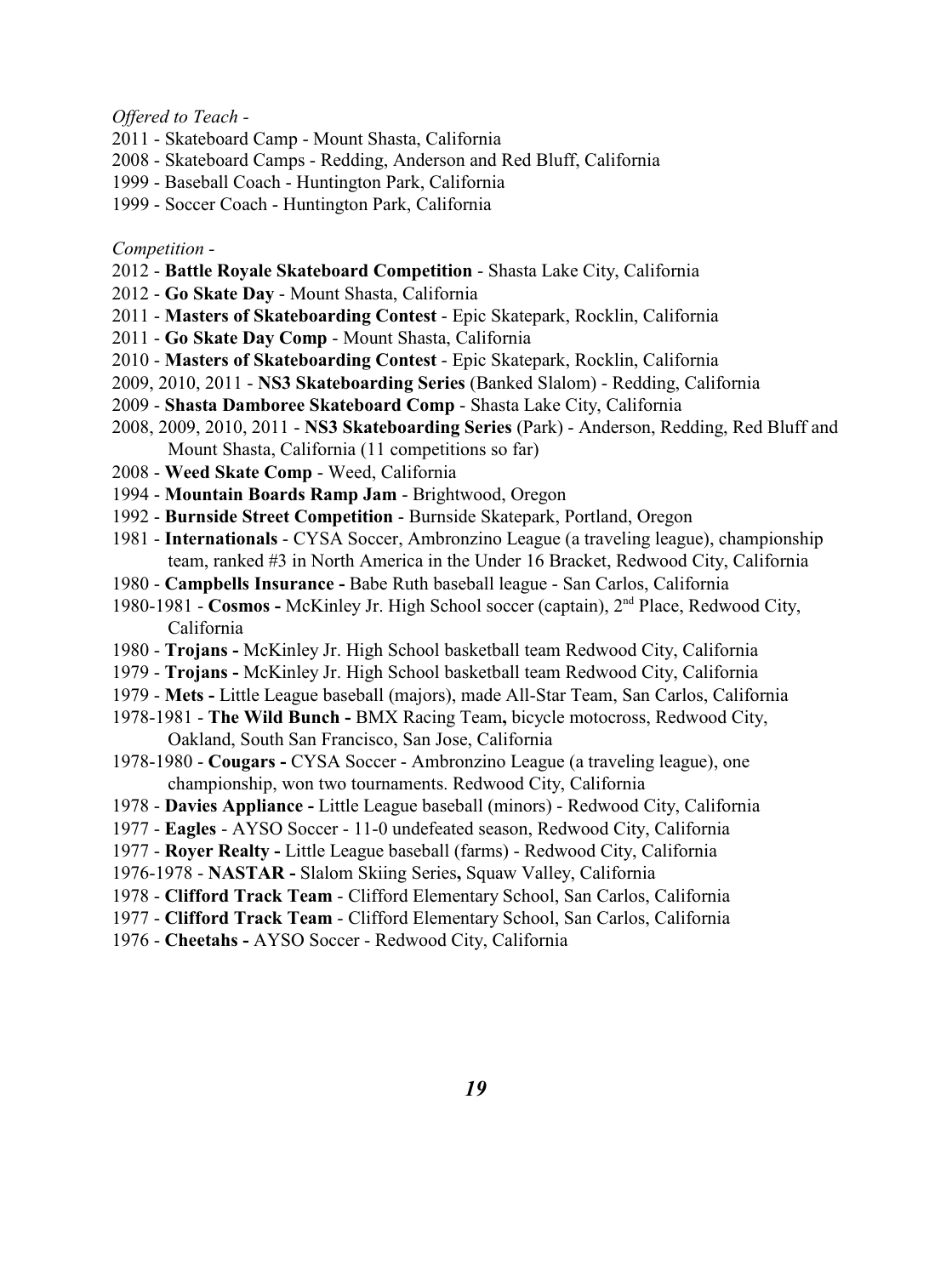*Offered to Teach -*

- 2011 Skateboard Camp Mount Shasta, California
- 2008 Skateboard Camps Redding, Anderson and Red Bluff, California
- 1999 Baseball Coach Huntington Park, California
- 1999 Soccer Coach Huntington Park, California

*Competition -* 

- 2012 **Battle Royale Skateboard Competition** Shasta Lake City, California
- 2012 **Go Skate Day** Mount Shasta, California
- 2011 **Masters of Skateboarding Contest**  Epic Skatepark, Rocklin, California
- 2011 **Go Skate Day Comp**  Mount Shasta, California
- 2010 **Masters of Skateboarding Contest**  Epic Skatepark, Rocklin, California
- 2009, 2010, 2011 **NS3 Skateboarding Series** (Banked Slalom) Redding, California
- 2009 **Shasta Damboree Skateboard Comp** Shasta Lake City, California
- 2008, 2009, 2010, 2011 **NS3 Skateboarding Series** (Park) Anderson, Redding, Red Bluff and Mount Shasta, California (11 competitions so far)
- 2008 **Weed Skate Comp** Weed, California
- 1994 **Mountain Boards Ramp Jam** Brightwood, Oregon
- 1992 **Burnside Street Competition**  Burnside Skatepark, Portland, Oregon
- 1981 **Internationals** CYSA Soccer, Ambronzino League (a traveling league), championship team, ranked #3 in North America in the Under 16 Bracket, Redwood City, California
- 1980 **Campbells Insurance -** Babe Ruth baseball league San Carlos, California
- 1980-1981 **Cosmos** McKinley Jr. High School soccer (captain), 2<sup>nd</sup> Place, Redwood City, California
- 1980 **Trojans** McKinley Jr. High School basketball team Redwood City, California
- 1979 **Trojans** McKinley Jr. High School basketball team Redwood City, California
- 1979 **Mets** Little League baseball (majors), made All-Star Team, San Carlos, California
- 1978-1981 **The Wild Bunch** BMX Racing Team**,** bicycle motocross, Redwood City, Oakland, South San Francisco, San Jose, California
- 1978-1980 **Cougars** CYSA Soccer Ambronzino League (a traveling league), one championship, won two tournaments. Redwood City, California
- 1978 **Davies Appliance -** Little League baseball (minors) Redwood City, California
- 1977 **Eagles** AYSO Soccer 11-0 undefeated season, Redwood City, California
- 1977 **Royer Realty -** Little League baseball (farms) Redwood City, California
- 1976-1978 - **NASTAR** Slalom Skiing Series**,** Squaw Valley, California
- 1978 **Clifford Track Team**  Clifford Elementary School, San Carlos, California
- 1977 **Clifford Track Team**  Clifford Elementary School, San Carlos, California
- 1976 - **Cheetahs** AYSO Soccer Redwood City, California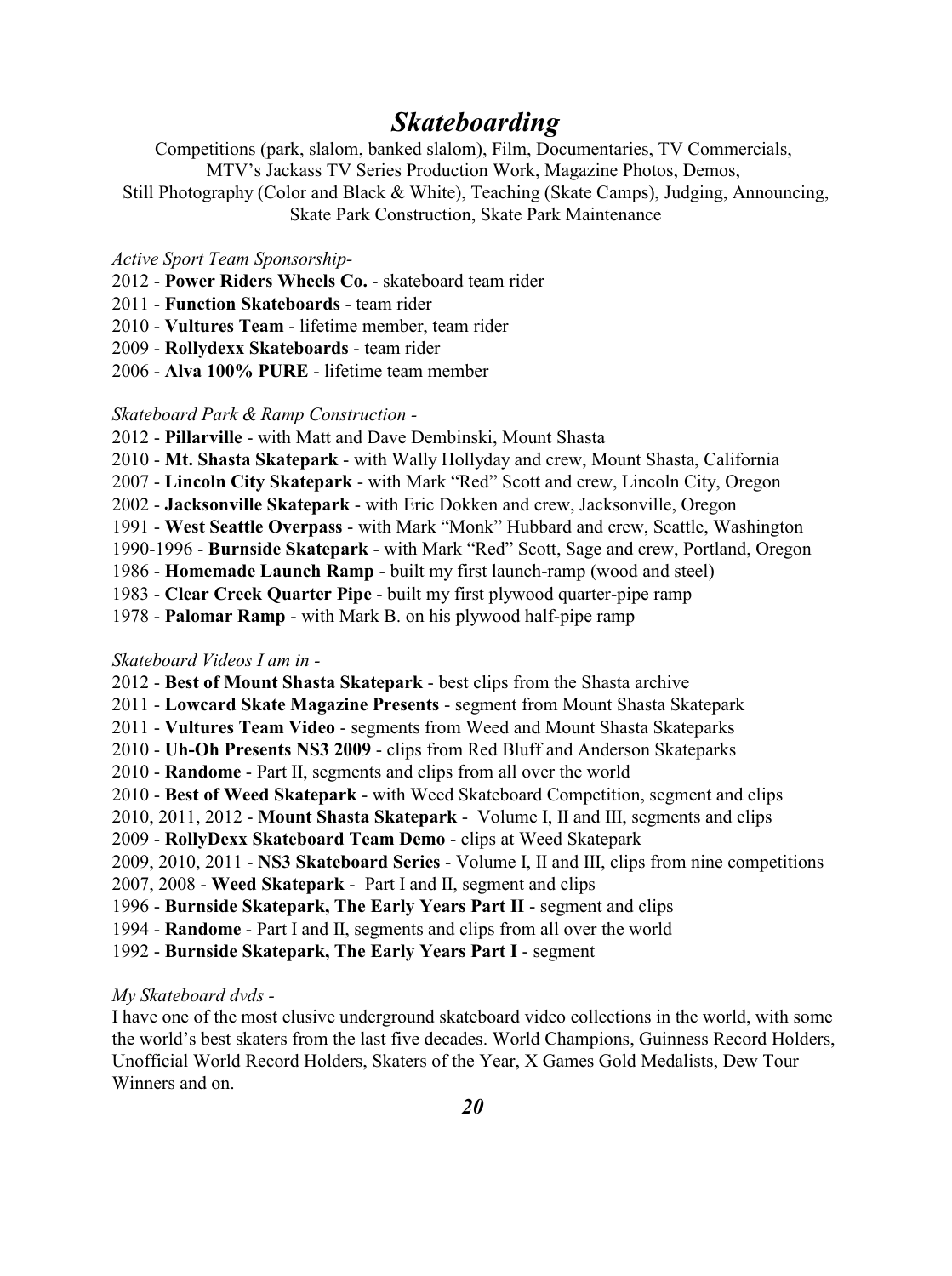# *Skateboarding*

Competitions (park, slalom, banked slalom), Film, Documentaries, TV Commercials, MTV's Jackass TV Series Production Work, Magazine Photos, Demos, Still Photography (Color and Black & White), Teaching (Skate Camps), Judging, Announcing, Skate Park Construction, Skate Park Maintenance

#### *Active Sport Team Sponsorship-*

- 2012 **Power Riders Wheels Co.** skateboard team rider
- 2011 - **Function Skateboards**  team rider
- 2010 **Vultures Team**  lifetime member, team rider
- 2009 **Rollydexx Skateboards** team rider
- 2006 **Alva 100% PURE** lifetime team member

#### *Skateboard Park & Ramp Construction -*

- 2012 - **Pillarville** with Matt and Dave Dembinski, Mount Shasta
- 2010 **Mt. Shasta Skatepark**  with Wally Hollyday and crew, Mount Shasta, California
- 2007 **Lincoln City Skatepark**  with Mark "Red" Scott and crew, Lincoln City, Oregon
- 2002 **Jacksonville Skatepark**  with Eric Dokken and crew, Jacksonville, Oregon
- 1991 **West Seattle Overpass**  with Mark "Monk" Hubbard and crew, Seattle, Washington
- 1990-1996 **Burnside Skatepark**  with Mark "Red" Scott, Sage and crew, Portland, Oregon
- 1986 **Homemade Launch Ramp**  built my first launch-ramp (wood and steel)
- 1983 **Clear Creek Quarter Pipe** built my first plywood quarter-pipe ramp
- 1978 **Palomar Ramp**  with Mark B. on his plywood half-pipe ramp

#### *Skateboard Videos I am in -*

2012 - **Best of Mount Shasta Skatepark** - best clips from the Shasta archive 2011 - **Lowcard Skate Magazine Presents** - segment from Mount Shasta Skatepark 2011 - **Vultures Team Video** - segments from Weed and Mount Shasta Skateparks 2010 - **Uh-Oh Presents NS3 2009** - clips from Red Bluff and Anderson Skateparks 2010 - **Randome** - Part II, segments and clips from all over the world 2010 - **Best of Weed Skatepark** - with Weed Skateboard Competition, segment and clips 2010, 2011, 2012 - **Mount Shasta Skatepark** - Volume I, II and III, segments and clips 2009 - **RollyDexx Skateboard Team Demo** - clips at Weed Skatepark 2009, 2010, 2011 - **NS3 Skateboard Series** - Volume I, II and III, clips from nine competitions 2007, 2008 - **Weed Skatepark** - Part I and II, segment and clips 1996 - **Burnside Skatepark, The Early Years Part II** - segment and clips 1994 - **Randome** - Part I and II, segments and clips from all over the world 1992 - **Burnside Skatepark, The Early Years Part I** - segment

#### *My Skateboard dvds -*

I have one of the most elusive underground skateboard video collections in the world, with some the world's best skaters from the last five decades. World Champions, Guinness Record Holders, Unofficial World Record Holders, Skaters of the Year, X Games Gold Medalists, Dew Tour Winners and on.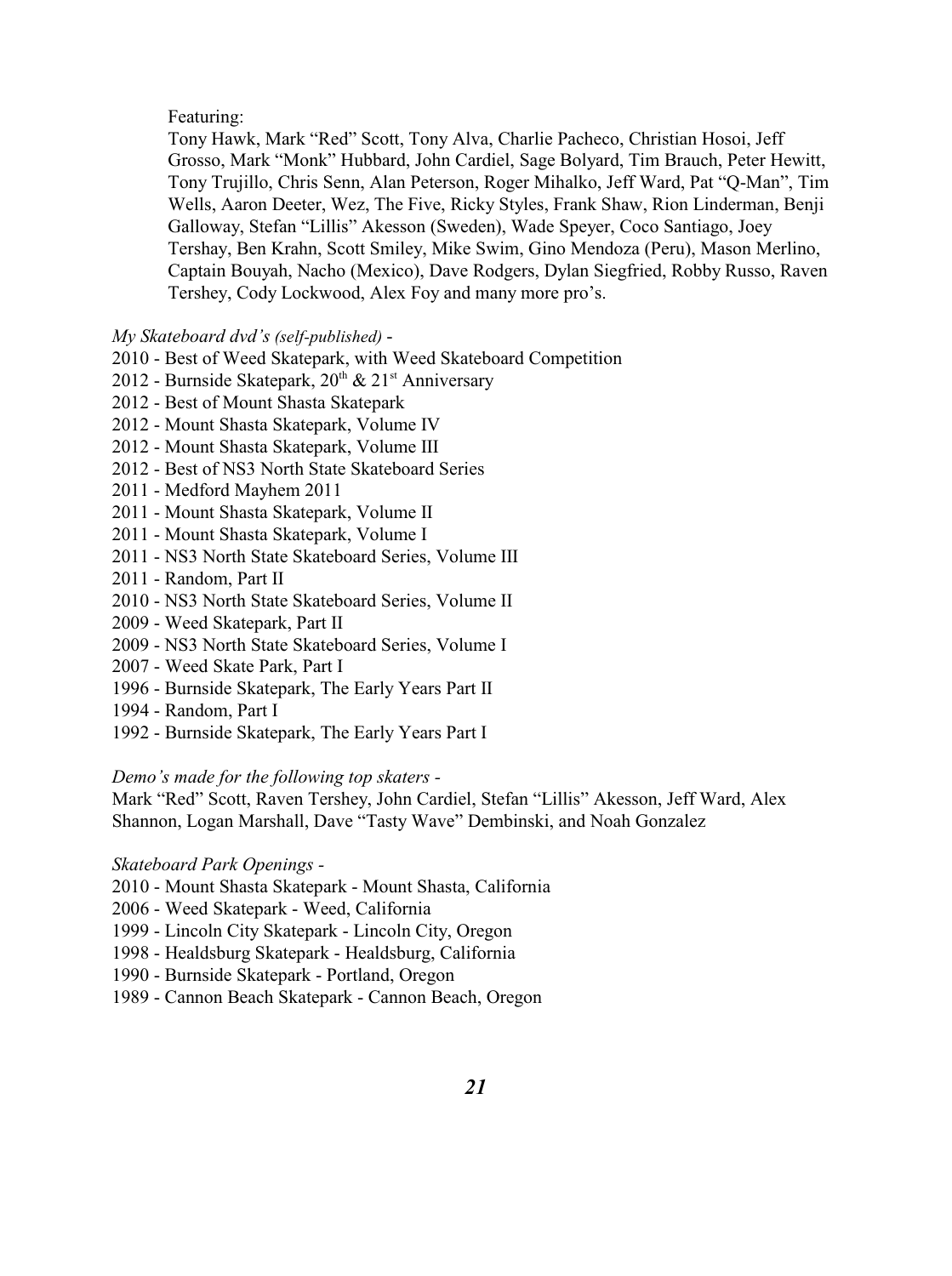#### Featuring:

Tony Hawk, Mark "Red" Scott, Tony Alva, Charlie Pacheco, Christian Hosoi, Jeff Grosso, Mark "Monk" Hubbard, John Cardiel, Sage Bolyard, Tim Brauch, Peter Hewitt, Tony Trujillo, Chris Senn, Alan Peterson, Roger Mihalko, Jeff Ward, Pat "Q-Man", Tim Wells, Aaron Deeter, Wez, The Five, Ricky Styles, Frank Shaw, Rion Linderman, Benji Galloway, Stefan "Lillis" Akesson (Sweden), Wade Speyer, Coco Santiago, Joey Tershay, Ben Krahn, Scott Smiley, Mike Swim, Gino Mendoza (Peru), Mason Merlino, Captain Bouyah, Nacho (Mexico), Dave Rodgers, Dylan Siegfried, Robby Russo, Raven Tershey, Cody Lockwood, Alex Foy and many more pro's.

*My Skateboard dvd's (self-published)* -

- 2010 Best of Weed Skatepark, with Weed Skateboard Competition
- 2012 Burnside Skatepark,  $20^{th}$  &  $21^{st}$  Anniversary
- 2012 Best of Mount Shasta Skatepark
- 2012 Mount Shasta Skatepark, Volume IV
- 2012 Mount Shasta Skatepark, Volume III
- 2012 Best of NS3 North State Skateboard Series
- 2011 Medford Mayhem 2011
- 2011 Mount Shasta Skatepark, Volume II
- 2011 Mount Shasta Skatepark, Volume I
- 2011 NS3 North State Skateboard Series, Volume III
- 2011 Random, Part II
- 2010 NS3 North State Skateboard Series, Volume II
- 2009 Weed Skatepark, Part II
- 2009 NS3 North State Skateboard Series, Volume I
- 2007 Weed Skate Park, Part I
- 1996 Burnside Skatepark, The Early Years Part II
- 1994 Random, Part I
- 1992 Burnside Skatepark, The Early Years Part I

#### *Demo's made for the following top skaters -*

Mark "Red" Scott, Raven Tershey, John Cardiel, Stefan "Lillis" Akesson, Jeff Ward, Alex Shannon, Logan Marshall, Dave "Tasty Wave" Dembinski, and Noah Gonzalez

#### *Skateboard Park Openings -*

- 2010 Mount Shasta Skatepark Mount Shasta, California
- 2006 Weed Skatepark Weed, California
- 1999 Lincoln City Skatepark Lincoln City, Oregon
- 1998 Healdsburg Skatepark Healdsburg, California
- 1990 Burnside Skatepark Portland, Oregon
- 1989 Cannon Beach Skatepark Cannon Beach, Oregon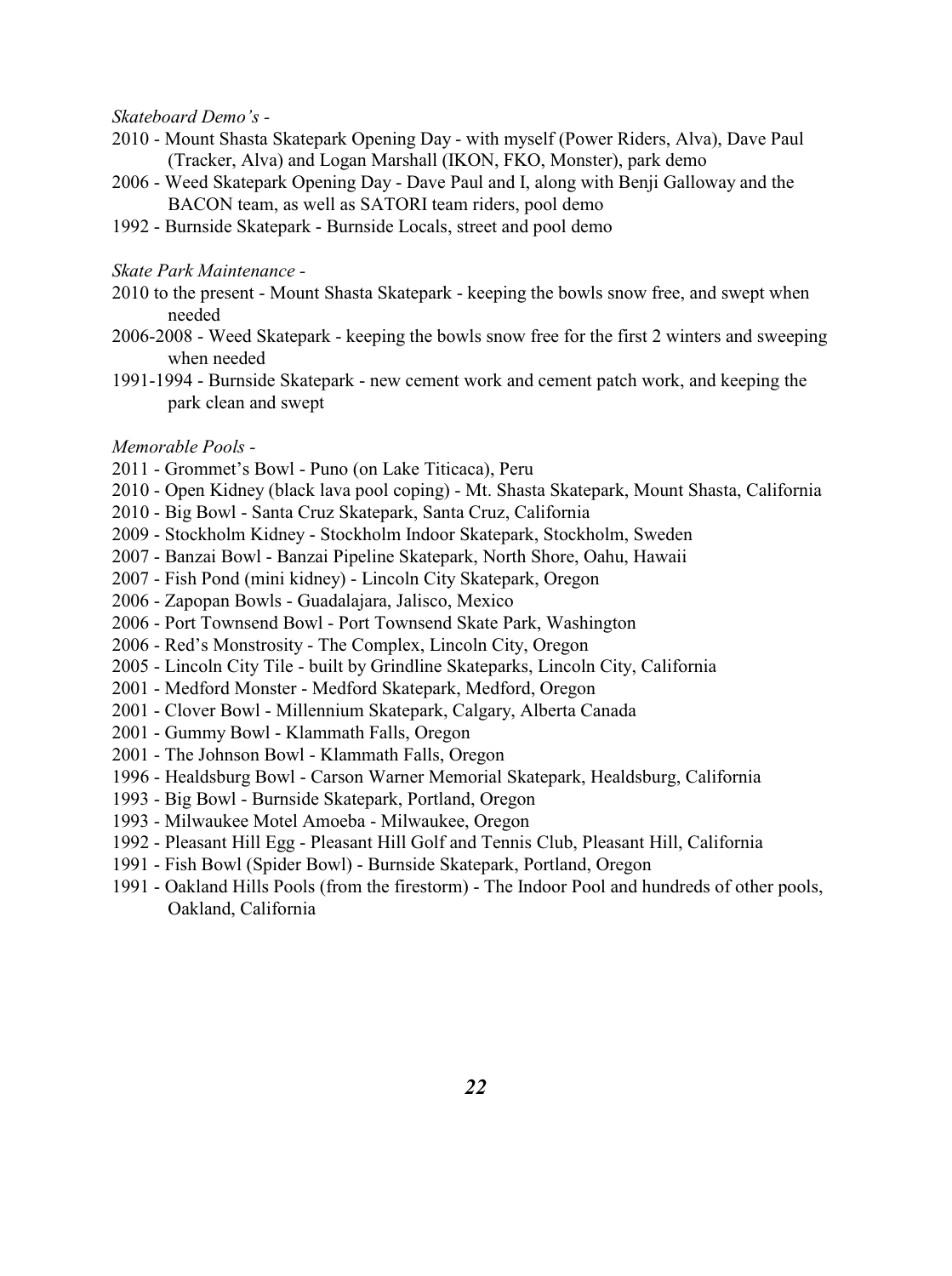*Skateboard Demo's -*

- 2010 Mount Shasta Skatepark Opening Day with myself (Power Riders, Alva), Dave Paul (Tracker, Alva) and Logan Marshall (IKON, FKO, Monster), park demo
- 2006 Weed Skatepark Opening Day Dave Paul and I, along with Benji Galloway and the BACON team, as well as SATORI team riders, pool demo
- 1992 Burnside Skatepark Burnside Locals, street and pool demo

#### *Skate Park Maintenance -*

- 2010 to the present Mount Shasta Skatepark keeping the bowls snow free, and swept when needed
- 2006-2008 Weed Skatepark keeping the bowls snow free for the first 2 winters and sweeping when needed
- 1991-1994 Burnside Skatepark new cement work and cement patch work, and keeping the park clean and swept

#### *Memorable Pools -*

- 2011 Grommet's Bowl Puno (on Lake Titicaca), Peru
- 2010 Open Kidney (black lava pool coping) Mt. Shasta Skatepark, Mount Shasta, California
- 2010 Big Bowl Santa Cruz Skatepark, Santa Cruz, California
- 2009 Stockholm Kidney Stockholm Indoor Skatepark, Stockholm, Sweden
- 2007 Banzai Bowl Banzai Pipeline Skatepark, North Shore, Oahu, Hawaii
- 2007 Fish Pond (mini kidney) Lincoln City Skatepark, Oregon
- 2006 Zapopan Bowls Guadalajara, Jalisco, Mexico
- 2006 Port Townsend Bowl Port Townsend Skate Park, Washington
- 2006 Red's Monstrosity The Complex, Lincoln City, Oregon
- 2005 Lincoln City Tile built by Grindline Skateparks, Lincoln City, California
- 2001 Medford Monster Medford Skatepark, Medford, Oregon
- 2001 Clover Bowl Millennium Skatepark, Calgary, Alberta Canada
- 2001 Gummy Bowl Klammath Falls, Oregon
- 2001 The Johnson Bowl Klammath Falls, Oregon
- 1996 Healdsburg Bowl Carson Warner Memorial Skatepark, Healdsburg, California
- 1993 Big Bowl Burnside Skatepark, Portland, Oregon
- 1993 Milwaukee Motel Amoeba Milwaukee, Oregon
- 1992 Pleasant Hill Egg Pleasant Hill Golf and Tennis Club, Pleasant Hill, California
- 1991 Fish Bowl (Spider Bowl) Burnside Skatepark, Portland, Oregon
- 1991 Oakland Hills Pools (from the firestorm) The Indoor Pool and hundreds of other pools, Oakland, California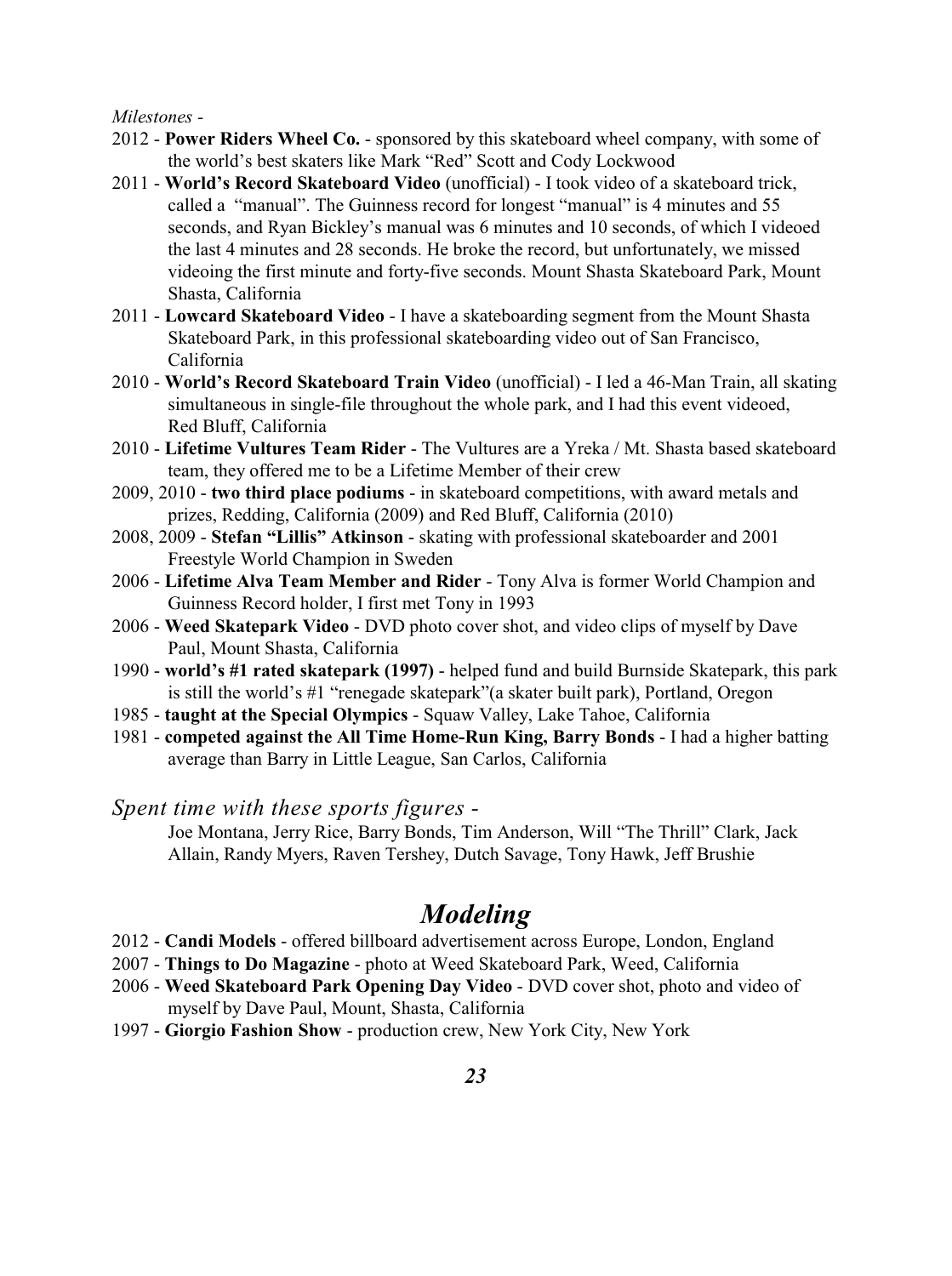#### *Milestones -*

- 2012 **Power Riders Wheel Co.** sponsored by this skateboard wheel company, with some of the world's best skaters like Mark "Red" Scott and Cody Lockwood
- 2011 **World's Record Skateboard Video** (unofficial) I took video of a skateboard trick, called a "manual". The Guinness record for longest "manual" is 4 minutes and 55 seconds, and Ryan Bickley's manual was 6 minutes and 10 seconds, of which I videoed the last 4 minutes and 28 seconds. He broke the record, but unfortunately, we missed videoing the first minute and forty-five seconds. Mount Shasta Skateboard Park, Mount Shasta, California
- 2011 **Lowcard Skateboard Video**  I have a skateboarding segment from the Mount Shasta Skateboard Park, in this professional skateboarding video out of San Francisco, California
- 2010 **World's Record Skateboard Train Video** (unofficial) I led a 46-Man Train, all skating simultaneous in single-file throughout the whole park, and I had this event videoed, Red Bluff, California
- 2010 **Lifetime Vultures Team Rider** The Vultures are a Yreka / Mt. Shasta based skateboard team, they offered me to be a Lifetime Member of their crew
- 2009, 2010 **two third place podiums** in skateboard competitions, with award metals and prizes, Redding, California (2009) and Red Bluff, California (2010)
- 2008, 2009 **Stefan "Lillis" Atkinson**  skating with professional skateboarder and 2001 Freestyle World Champion in Sweden
- 2006 **Lifetime Alva Team Member and Rider**  Tony Alva is former World Champion and Guinness Record holder, I first met Tony in 1993
- 2006 - **Weed Skatepark Video**  DVD photo cover shot, and video clips of myself by Dave Paul, Mount Shasta, California
- 1990 **world's #1 rated skatepark (1997)** helped fund and build Burnside Skatepark, this park is still the world's #1 "renegade skatepark"(a skater built park), Portland, Oregon
- 1985 **taught at the Special Olympics** Squaw Valley, Lake Tahoe, California
- 1981 **competed against the All Time Home-Run King, Barry Bonds**  I had a higher batting average than Barry in Little League, San Carlos, California

*Spent time with these sports figures -*

Joe Montana, Jerry Rice, Barry Bonds, Tim Anderson, Will "The Thrill" Clark, Jack Allain, Randy Myers, Raven Tershey, Dutch Savage, Tony Hawk, Jeff Brushie

### *Modeling*

- 2012 **Candi Models**  offered billboard advertisement across Europe, London, England
- 2007 - **Things to Do Magazine**  photo at Weed Skateboard Park, Weed, California
- 2006 **Weed Skateboard Park Opening Day Video**  DVD cover shot, photo and video of myself by Dave Paul, Mount, Shasta, California
- 1997 - **Giorgio Fashion Show** production crew, New York City, New York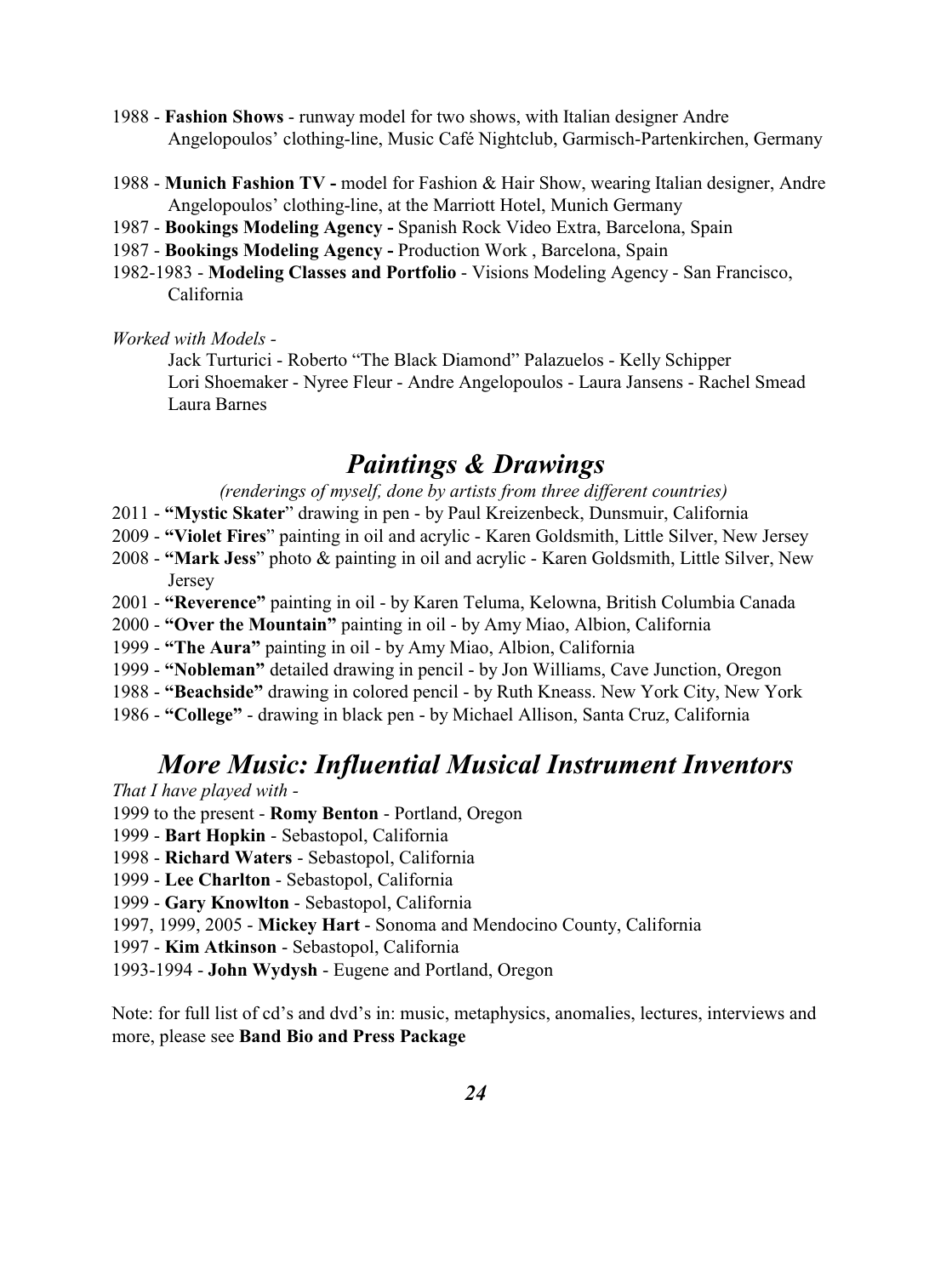- 1988 **Fashion Shows** runway model for two shows, with Italian designer Andre Angelopoulos' clothing-line, Music Café Nightclub, Garmisch-Partenkirchen, Germany
- 1988 **Munich Fashion TV** model for Fashion & Hair Show, wearing Italian designer, Andre Angelopoulos' clothing-line, at the Marriott Hotel, Munich Germany
- 1987 **Bookings Modeling Agency -** Spanish Rock Video Extra, Barcelona, Spain
- 1987 **Bookings Modeling Agency -** Production Work , Barcelona, Spain
- 1982-1983 **Modeling Classes and Portfolio** Visions Modeling Agency San Francisco, California

#### *Worked with Models -*

Jack Turturici - Roberto "The Black Diamond" Palazuelos - Kelly Schipper Lori Shoemaker - Nyree Fleur - Andre Angelopoulos - Laura Jansens - Rachel Smead Laura Barnes

# *Paintings & Drawings*

*(renderings of myself, done by artists from three different countries)*

- 2011 **"Mystic Skater**" drawing in pen by Paul Kreizenbeck, Dunsmuir, California
- 2009 - **"Violet Fires**" painting in oil and acrylic Karen Goldsmith, Little Silver, New Jersey
- 2008 **"Mark Jess**" photo & painting in oil and acrylic Karen Goldsmith, Little Silver, New Jersey
- 2001 **"Reverence"** painting in oil by Karen Teluma, Kelowna, British Columbia Canada
- 2000 **"Over the Mountain"** painting in oil by Amy Miao, Albion, California
- 1999 **"The Aura"** painting in oil by Amy Miao, Albion, California
- 1999 **"Nobleman"** detailed drawing in pencil by Jon Williams, Cave Junction, Oregon
- 1988 **"Beachside"** drawing in colored pencil by Ruth Kneass. New York City, New York
- 1986 **"College"**  drawing in black pen by Michael Allison, Santa Cruz, California

# *More Music: Influential Musical Instrument Inventors*

*That I have played with -*

- 1999 to the present - **Romy Benton**  Portland, Oregon
- 1999 **Bart Hopkin** Sebastopol, California
- 1998 **Richard Waters**  Sebastopol, California
- 1999 **Lee Charlton**  Sebastopol, California
- 1999 **Gary Knowlton**  Sebastopol, California
- 1997, 1999, 2005 **Mickey Hart** Sonoma and Mendocino County, California
- 1997 **Kim Atkinson**  Sebastopol, California
- 1993-1994 **John Wydysh** Eugene and Portland, Oregon

Note: for full list of cd's and dvd's in: music, metaphysics, anomalies, lectures, interviews and more, please see **Band Bio and Press Package**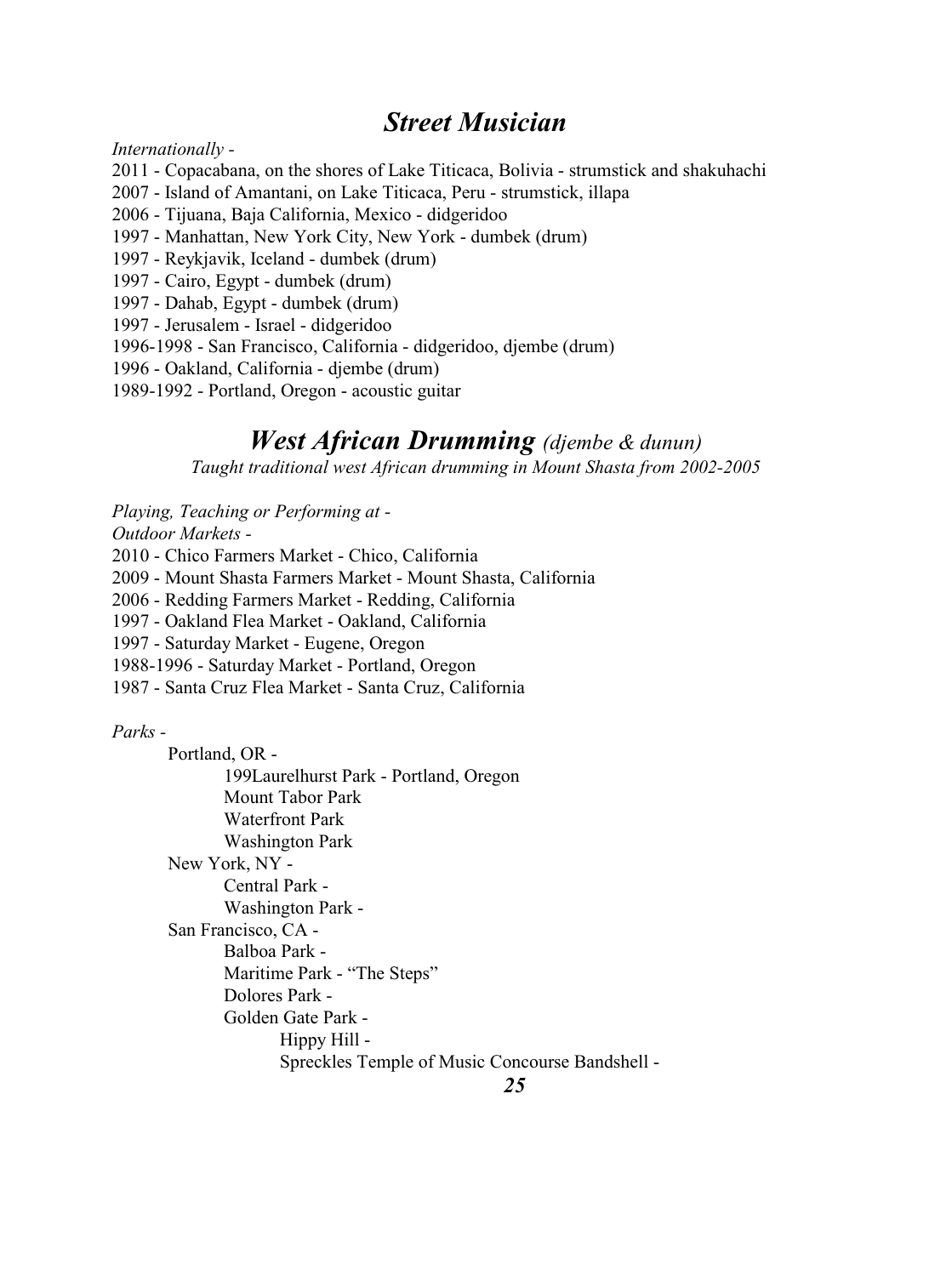### *Street Musician*

*Internationally -*

- 2011 Copacabana, on the shores of Lake Titicaca, Bolivia strumstick and shakuhachi
- 2007 Island of Amantani, on Lake Titicaca, Peru strumstick, illapa
- 2006 Tijuana, Baja California, Mexico didgeridoo
- 1997 Manhattan, New York City, New York dumbek (drum)
- 1997 Reykjavik, Iceland dumbek (drum)
- 1997 Cairo, Egypt dumbek (drum)
- 1997 Dahab, Egypt dumbek (drum)
- 1997 Jerusalem Israel didgeridoo
- 1996-1998 San Francisco, California didgeridoo, djembe (drum)
- 1996 Oakland, California djembe (drum)
- 1989-1992 Portland, Oregon acoustic guitar

# *West African Drumming (djembe & dunun)*

*Taught traditional west African drumming in Mount Shasta from 2002-2005*

*Playing, Teaching or Performing at -*

*Outdoor Markets -*

2010 - Chico Farmers Market - Chico, California

2009 - Mount Shasta Farmers Market - Mount Shasta, California

2006 - Redding Farmers Market - Redding, California

1997 - Oakland Flea Market - Oakland, California

1997 - Saturday Market - Eugene, Oregon

1988-1996 - Saturday Market - Portland, Oregon

1987 - Santa Cruz Flea Market - Santa Cruz, California

*Parks -*

Portland, OR - 199Laurelhurst Park - Portland, Oregon Mount Tabor Park Waterfront Park Washington Park New York, NY - Central Park - Washington Park - San Francisco, CA - Balboa Park - Maritime Park - "The Steps" Dolores Park - Golden Gate Park - Hippy Hill - Spreckles Temple of Music Concourse Bandshell -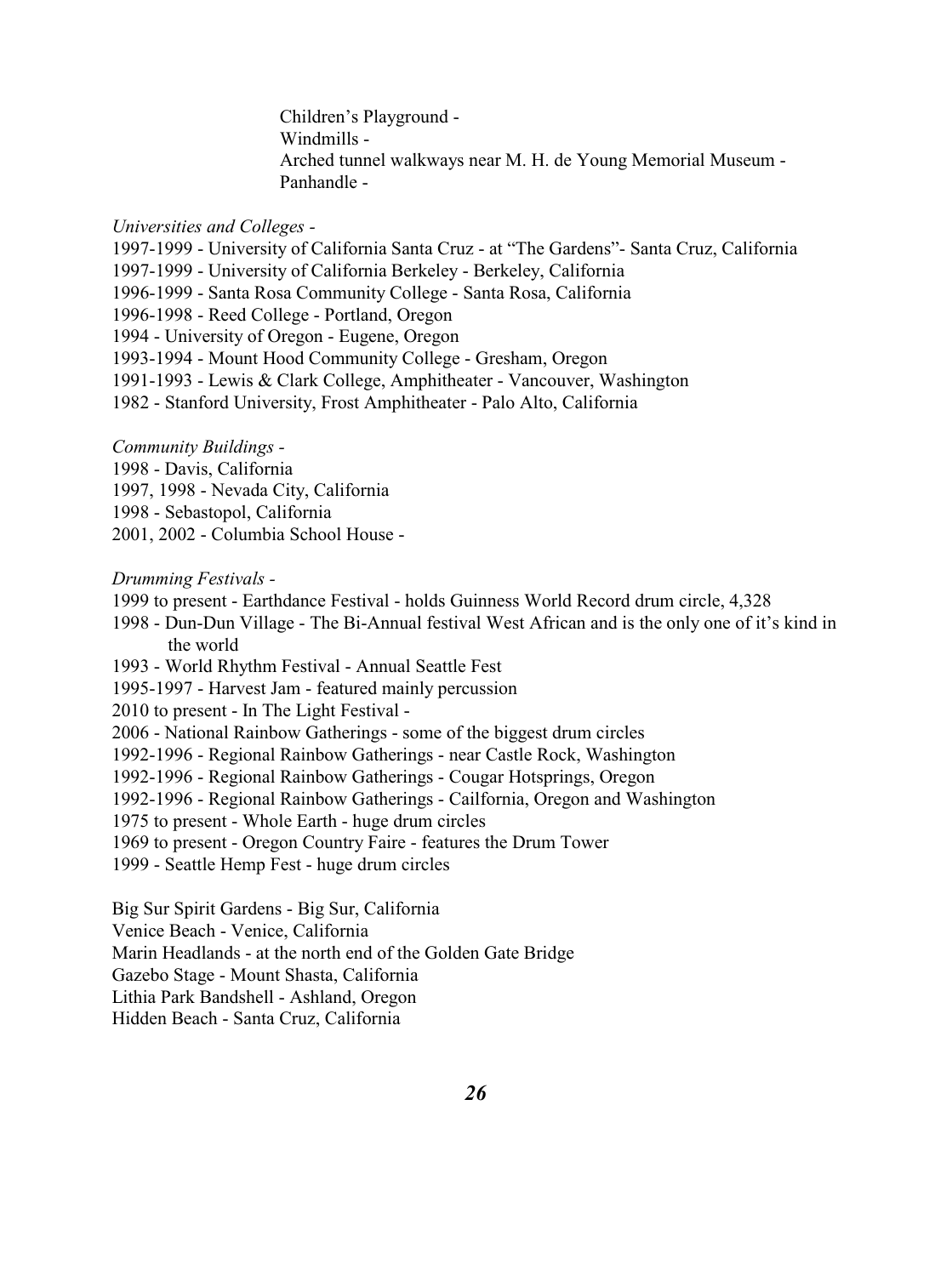Children's Playground - Windmills - Arched tunnel walkways near M. H. de Young Memorial Museum - Panhandle -

#### *Universities and Colleges -*

1997-1999 - University of California Santa Cruz - at "The Gardens"- Santa Cruz, California 1997-1999 - University of California Berkeley - Berkeley, California 1996-1999 - Santa Rosa Community College - Santa Rosa, California 1996-1998 - Reed College - Portland, Oregon 1994 - University of Oregon - Eugene, Oregon 1993-1994 - Mount Hood Community College - Gresham, Oregon 1991-1993 - Lewis & Clark College, Amphitheater - Vancouver, Washington 1982 - Stanford University, Frost Amphitheater - Palo Alto, California

*Community Buildings -* 

1998 - Davis, California

1997, 1998 - Nevada City, California

1998 - Sebastopol, California

2001, 2002 - Columbia School House -

#### *Drumming Festivals -*

- 1999 to present Earthdance Festival holds Guinness World Record drum circle, 4,328
- 1998 Dun-Dun Village The Bi-Annual festival West African and is the only one of it's kind in the world
- 1993 World Rhythm Festival Annual Seattle Fest
- 1995-1997 Harvest Jam featured mainly percussion
- 2010 to present In The Light Festival -
- 2006 National Rainbow Gatherings some of the biggest drum circles
- 1992-1996 Regional Rainbow Gatherings near Castle Rock, Washington
- 1992-1996 Regional Rainbow Gatherings Cougar Hotsprings, Oregon
- 1992-1996 Regional Rainbow Gatherings Cailfornia, Oregon and Washington

1975 to present - Whole Earth - huge drum circles

1969 to present - Oregon Country Faire - features the Drum Tower

1999 - Seattle Hemp Fest - huge drum circles

Big Sur Spirit Gardens - Big Sur, California

Venice Beach - Venice, California

Marin Headlands - at the north end of the Golden Gate Bridge

Gazebo Stage - Mount Shasta, California

Lithia Park Bandshell - Ashland, Oregon

Hidden Beach - Santa Cruz, California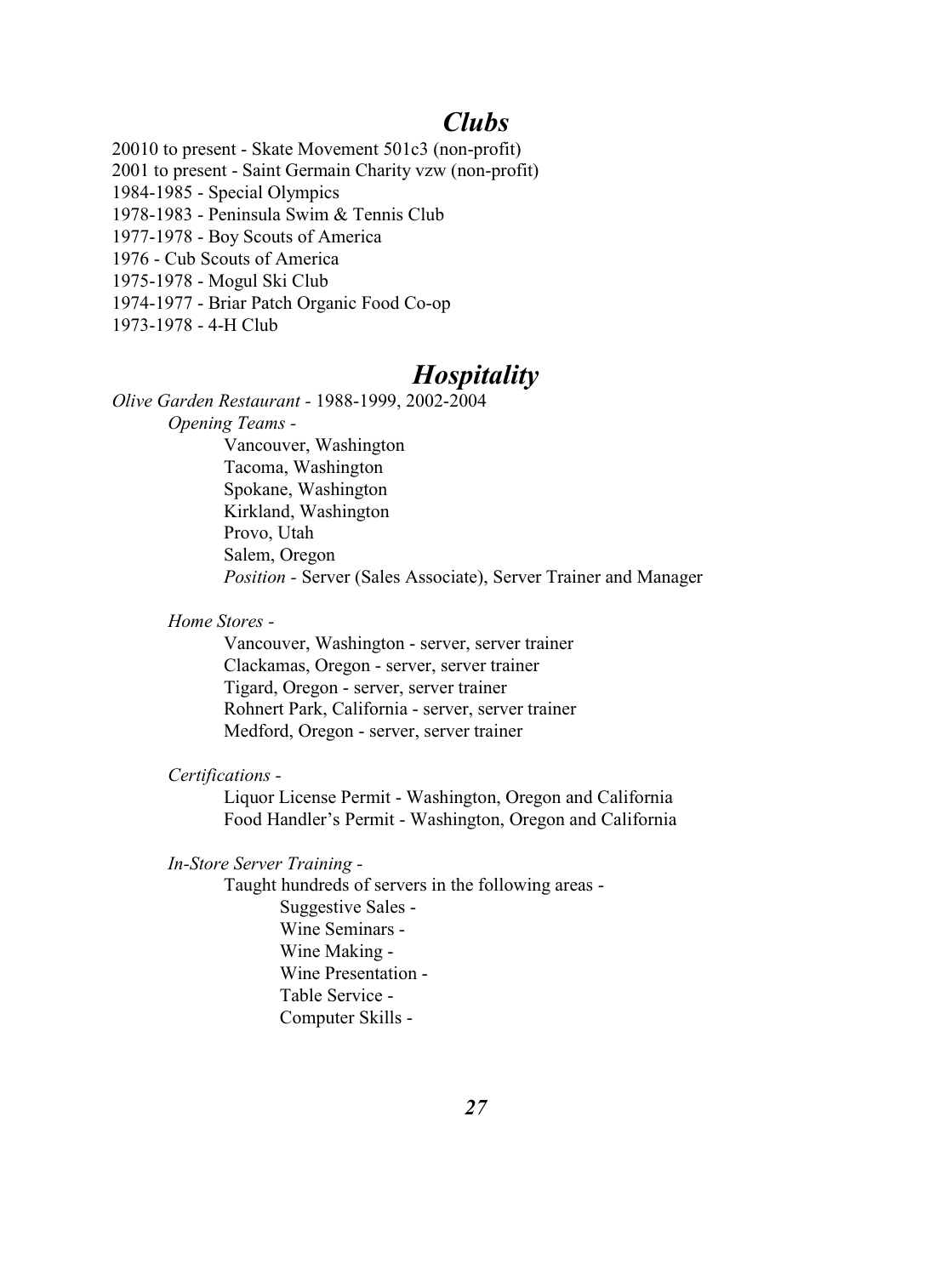### *Clubs*

20010 to present - Skate Movement 501c3 (non-profit) 2001 to present - Saint Germain Charity vzw (non-profit) 1984-1985 - Special Olympics 1978-1983 - Peninsula Swim & Tennis Club 1977-1978 - Boy Scouts of America 1976 - Cub Scouts of America 1975-1978 - Mogul Ski Club 1974-1977 - Briar Patch Organic Food Co-op 1973-1978 - 4-H Club

### *Hospitality*

*Olive Garden Restaurant -* 1988-1999, 2002-2004

*Opening Teams -* 

Vancouver, Washington Tacoma, Washington Spokane, Washington Kirkland, Washington Provo, Utah Salem, Oregon *Position -* Server (Sales Associate), Server Trainer and Manager

*Home Stores -*

Vancouver, Washington - server, server trainer Clackamas, Oregon - server, server trainer Tigard, Oregon - server, server trainer Rohnert Park, California - server, server trainer Medford, Oregon - server, server trainer

#### *Certifications -*

Liquor License Permit - Washington, Oregon and California Food Handler's Permit - Washington, Oregon and California

*In-Store Server Training -* 

Taught hundreds of servers in the following areas - Suggestive Sales - Wine Seminars - Wine Making - Wine Presentation - Table Service - Computer Skills -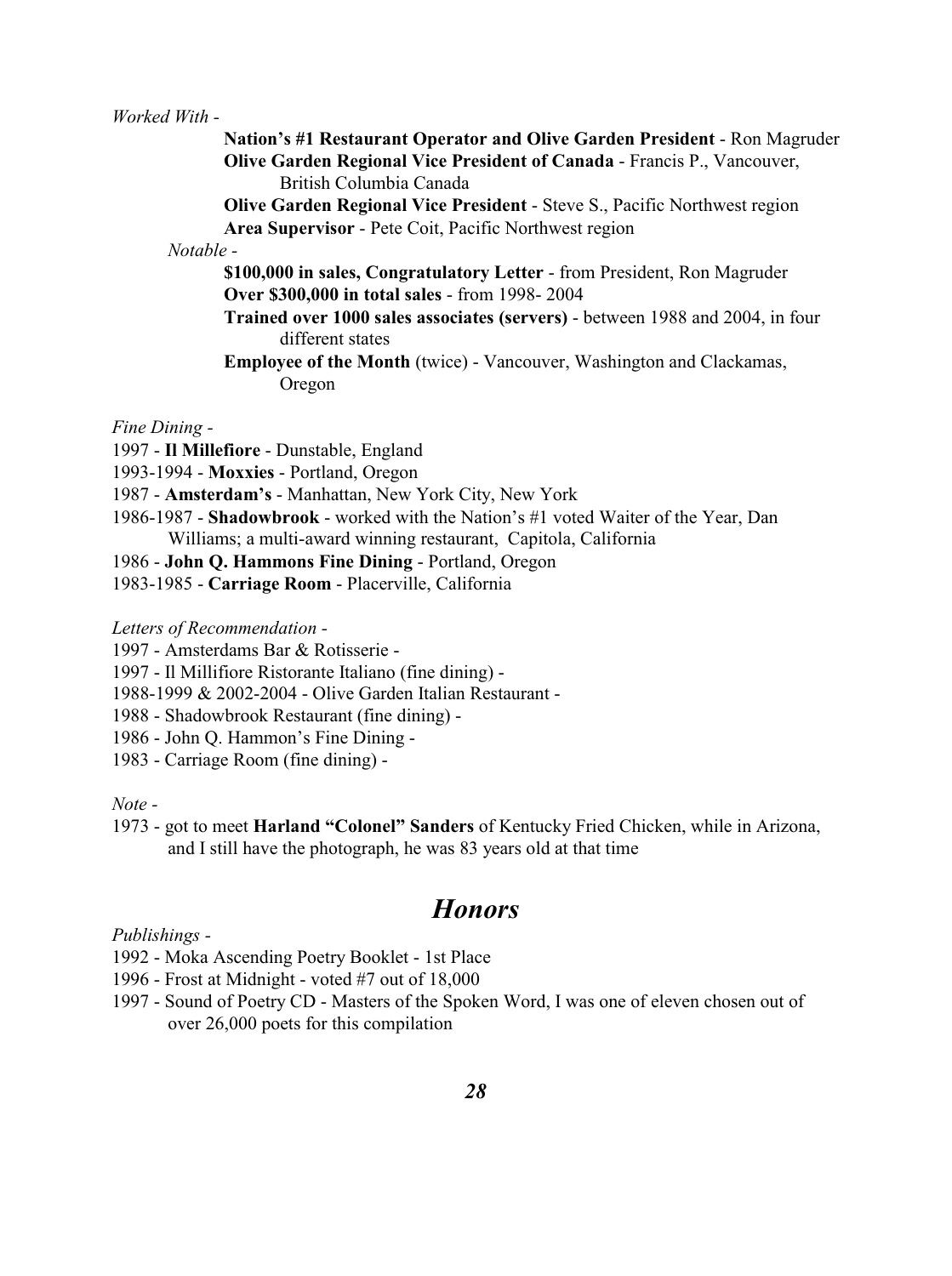#### *Worked With -*

- **Nation's #1 Restaurant Operator and Olive Garden President**  Ron Magruder **Olive Garden Regional Vice President of Canada** - Francis P., Vancouver, British Columbia Canada
- **Olive Garden Regional Vice President**  Steve S., Pacific Northwest region **Area Supervisor** - Pete Coit, Pacific Northwest region

*Notable -*

- **\$100,000 in sales, Congratulatory Letter** from President, Ron Magruder **Over \$300,000 in total sales** - from 1998- 2004
- **Trained over 1000 sales associates (servers)** between 1988 and 2004, in four different states
- **Employee of the Month** (twice) Vancouver, Washington and Clackamas, Oregon

*Fine Dining -*

- 1997 **Il Millefiore**  Dunstable, England
- 1993-1994 - **Moxxies** Portland, Oregon
- 1987 **Amsterdam's** Manhattan, New York City, New York
- 1986-1987 **Shadowbrook** worked with the Nation's #1 voted Waiter of the Year, Dan Williams; a multi-award winning restaurant, Capitola, California
- 1986 **John Q. Hammons Fine Dining**  Portland, Oregon
- 1983-1985 **Carriage Room**  Placerville, California

*Letters of Recommendation -* 

- 1997 Amsterdams Bar & Rotisserie -
- 1997 Il Millifiore Ristorante Italiano (fine dining) -
- 1988-1999 & 2002-2004 Olive Garden Italian Restaurant -
- 1988 Shadowbrook Restaurant (fine dining) -
- 1986 John Q. Hammon's Fine Dining -
- 1983 Carriage Room (fine dining) -

*Note -*

1973 - got to meet **Harland "Colonel" Sanders** of Kentucky Fried Chicken, while in Arizona, and I still have the photograph, he was 83 years old at that time

# *Honors*

#### *Publishings -*

- 1992 Moka Ascending Poetry Booklet 1st Place
- 1996 Frost at Midnight voted #7 out of 18,000
- 1997 Sound of Poetry CD Masters of the Spoken Word, I was one of eleven chosen out of over 26,000 poets for this compilation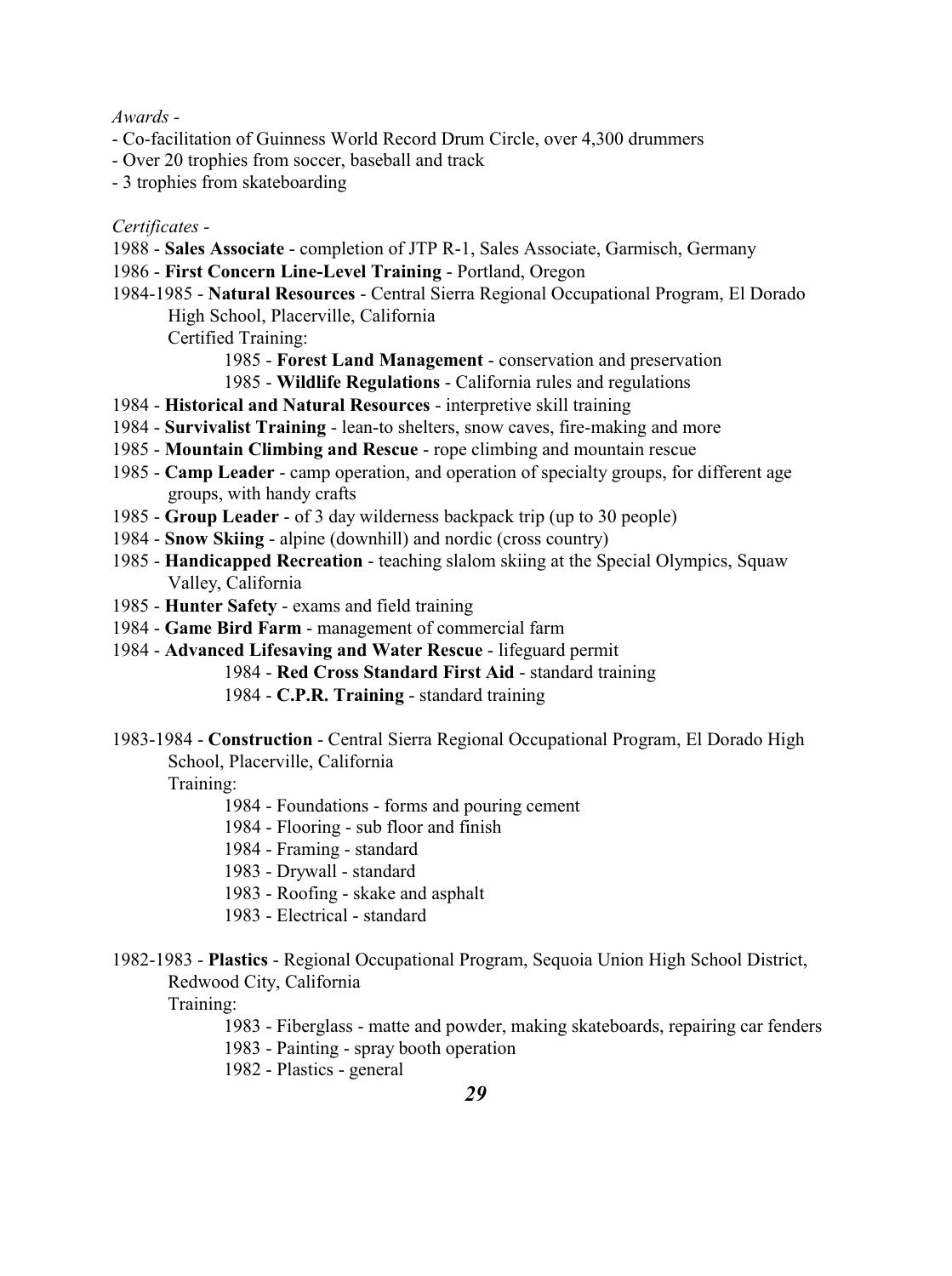#### *Awards -*

- Co-facilitation of Guinness World Record Drum Circle, over 4,300 drummers
- Over 20 trophies from soccer, baseball and track
- 3 trophies from skateboarding

#### *Certificates -*

- 1988 **Sales Associate**  completion of JTP R-1, Sales Associate, Garmisch, Germany
- 1986 **First Concern Line-Level Training**  Portland, Oregon
- 1984-1985 **Natural Resources**  Central Sierra Regional Occupational Program, El Dorado High School, Placerville, California

Certified Training:

- 1985 **Forest Land Management** conservation and preservation
- 1985 **Wildlife Regulations** California rules and regulations
- 1984 **Historical and Natural Resources** interpretive skill training
- 1984 **Survivalist Training**  lean-to shelters, snow caves, fire-making and more
- 1985 - **Mountain Climbing and Rescue** rope climbing and mountain rescue
- 1985 **Camp Leader**  camp operation, and operation of specialty groups, for different age groups, with handy crafts
- 1985 **Group Leader**  of 3 day wilderness backpack trip (up to 30 people)
- 1984 **Snow Skiing**  alpine (downhill) and nordic (cross country)
- 1985 **Handicapped Recreation** teaching slalom skiing at the Special Olympics, Squaw Valley, California
- 1985 **Hunter Safety**  exams and field training
- 1984 **Game Bird Farm** management of commercial farm
- 1984 **Advanced Lifesaving and Water Rescue**  lifeguard permit
	- 1984 **Red Cross Standard First Aid** standard training
	- 1984 **C.P.R. Training** standard training
- 1983-1984 **Construction**  Central Sierra Regional Occupational Program, El Dorado High School, Placerville, California

Training:

- 1984 Foundations forms and pouring cement
- 1984 Flooring sub floor and finish
- 1984 Framing standard
- 1983 Drywall standard
- 1983 Roofing skake and asphalt
- 1983 Electrical standard
- 1982-1983 **Plastics**  Regional Occupational Program, Sequoia Union High School District,

Redwood City, California

Training:

- 1983 Fiberglass matte and powder, making skateboards, repairing car fenders
- 1983 Painting spray booth operation

1982 - Plastics - general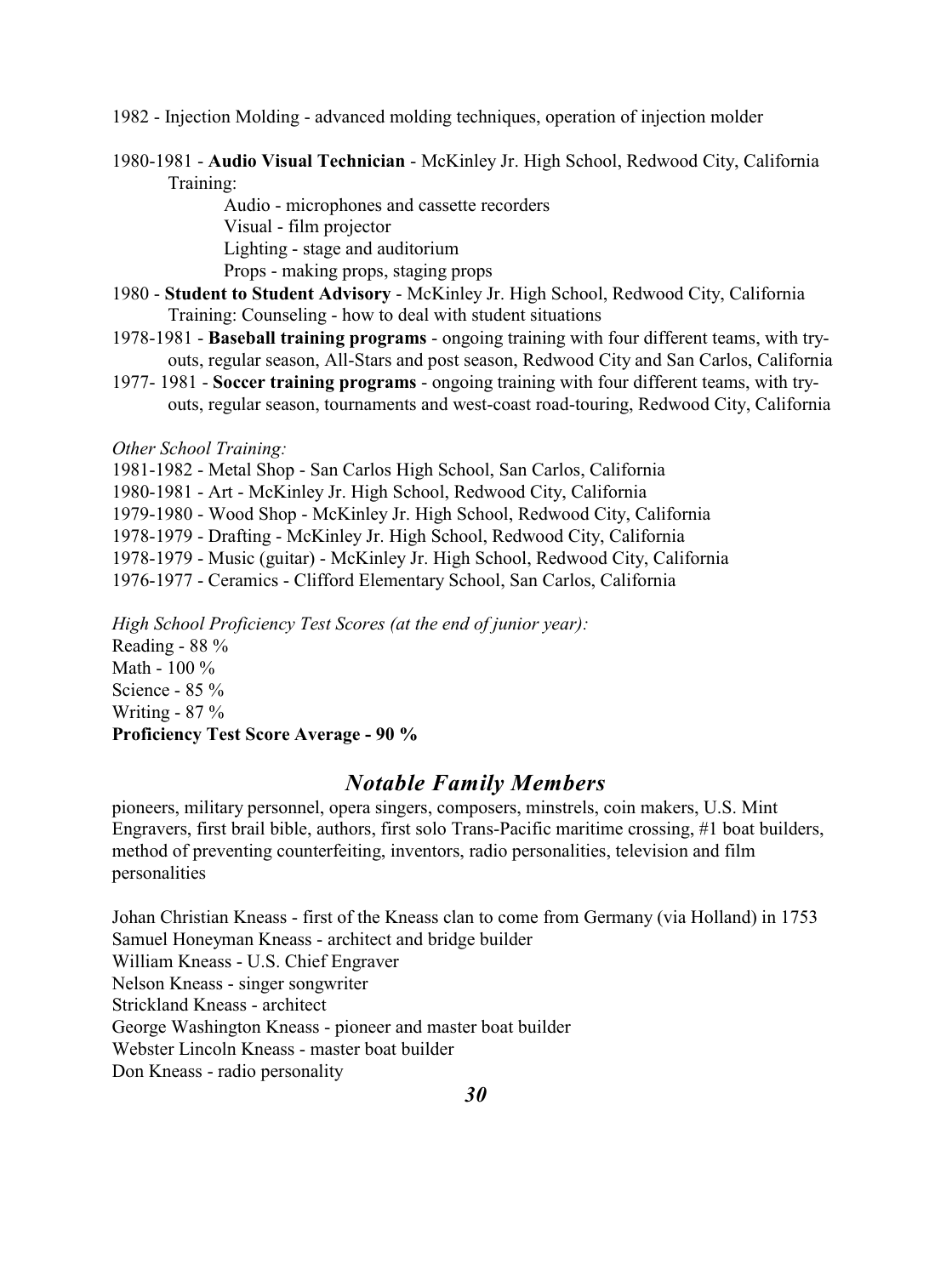1982 - Injection Molding - advanced molding techniques, operation of injection molder

1980-1981 - **Audio Visual Technician** - McKinley Jr. High School, Redwood City, California Training:

> Audio - microphones and cassette recorders Visual - film projector Lighting - stage and auditorium Props - making props, staging props

- 1980 - **Student to Student Advisory** McKinley Jr. High School, Redwood City, California Training: Counseling - how to deal with student situations
- 1978-1981 **Baseball training programs**  ongoing training with four different teams, with tryouts, regular season, All-Stars and post season, Redwood City and San Carlos, California
- 1977- 1981 **Soccer training programs**  ongoing training with four different teams, with tryouts, regular season, tournaments and west-coast road-touring, Redwood City, California

*Other School Training:*

1981-1982 - Metal Shop - San Carlos High School, San Carlos, California

1980-1981 - Art - McKinley Jr. High School, Redwood City, California

1979-1980 - Wood Shop - McKinley Jr. High School, Redwood City, California

1978-1979 - Drafting - McKinley Jr. High School, Redwood City, California

1978-1979 - Music (guitar) - McKinley Jr. High School, Redwood City, California

1976-1977 - Ceramics - Clifford Elementary School, San Carlos, California

*High School Proficiency Test Scores (at the end of junior year):*

Reading - 88 % Math - 100 % Science - 85 % Writing - 87 % **Proficiency Test Score Average - 90 %**

### *Notable Family Members*

pioneers, military personnel, opera singers, composers, minstrels, coin makers, U.S. Mint Engravers, first brail bible, authors, first solo Trans-Pacific maritime crossing, #1 boat builders, method of preventing counterfeiting, inventors, radio personalities, television and film personalities

Johan Christian Kneass - first of the Kneass clan to come from Germany (via Holland) in 1753 Samuel Honeyman Kneass - architect and bridge builder William Kneass - U.S. Chief Engraver Nelson Kneass - singer songwriter Strickland Kneass - architect George Washington Kneass - pioneer and master boat builder Webster Lincoln Kneass - master boat builder Don Kneass - radio personality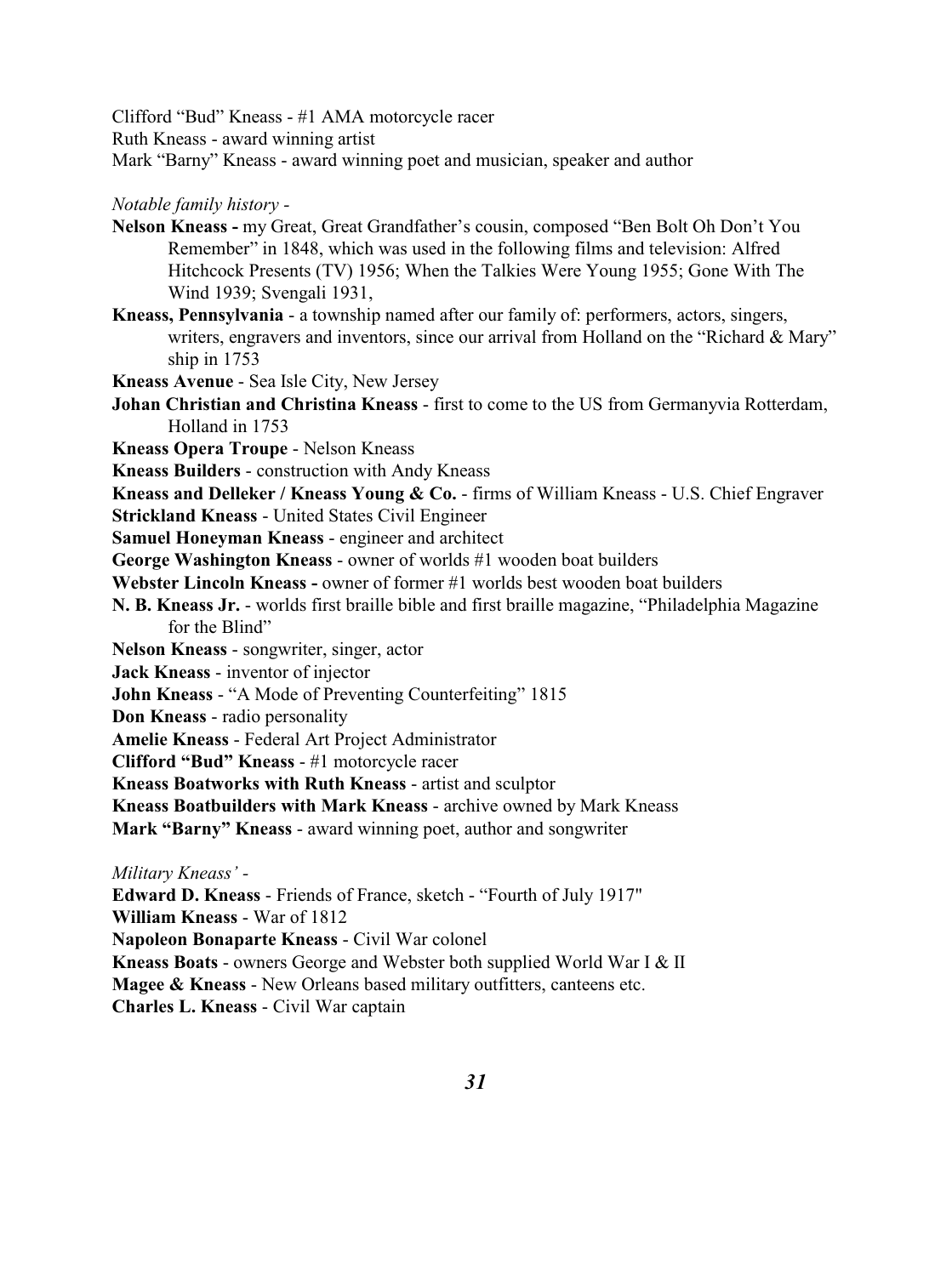Clifford "Bud" Kneass - #1 AMA motorcycle racer

Ruth Kneass - award winning artist

Mark "Barny" Kneass - award winning poet and musician, speaker and author

*Notable family history -* 

- **Nelson Kneass** my Great, Great Grandfather's cousin, composed "Ben Bolt Oh Don't You Remember" in 1848, which was used in the following films and television: Alfred Hitchcock Presents (TV) 1956; When the Talkies Were Young 1955; Gone With The Wind 1939; Svengali 1931,
- **Kneass, Pennsylvania**  a township named after our family of: performers, actors, singers, writers, engravers and inventors, since our arrival from Holland on the "Richard & Mary" ship in 1753
- **Kneass Avenue** Sea Isle City, New Jersey
- **Johan Christian and Christina Kneass**  first to come to the US from Germanyvia Rotterdam, Holland in 1753
- **Kneass Opera Troupe**  Nelson Kneass
- **Kneass Builders**  construction with Andy Kneass

**Kneass and Delleker / Kneass Young & Co.** - firms of William Kneass - U.S. Chief Engraver **Strickland Kneass** - United States Civil Engineer

- **Samuel Honeyman Kneass**  engineer and architect
- **George Washington Kneass**  owner of worlds #1 wooden boat builders
- **Webster Lincoln Kneass -** owner of former #1 worlds best wooden boat builders
- **N. B. Kneass Jr.** worlds first braille bible and first braille magazine, "Philadelphia Magazine for the Blind"
- **Nelson Kneass** songwriter, singer, actor
- **Jack Kneass**  inventor of injector
- **John Kneass**  "A Mode of Preventing Counterfeiting" 1815
- **Don Kneass**  radio personality
- **Amelie Kneass** Federal Art Project Administrator
- **Clifford "Bud" Kneass**  #1 motorcycle racer

**Kneass Boatworks with Ruth Kneass** - artist and sculptor

**Kneass Boatbuilders with Mark Kneass** - archive owned by Mark Kneass

**Mark "Barny" Kneass** - award winning poet, author and songwriter

*Military Kneass' -*

**Edward D. Kneass** - Friends of France, sketch - "Fourth of July 1917"

**William Kneass** - War of 1812

**Napoleon Bonaparte Kneass** - Civil War colonel

**Kneass Boats** - owners George and Webster both supplied World War I & II

**Magee & Kneass** - New Orleans based military outfitters, canteens etc.

**Charles L. Kneass** - Civil War captain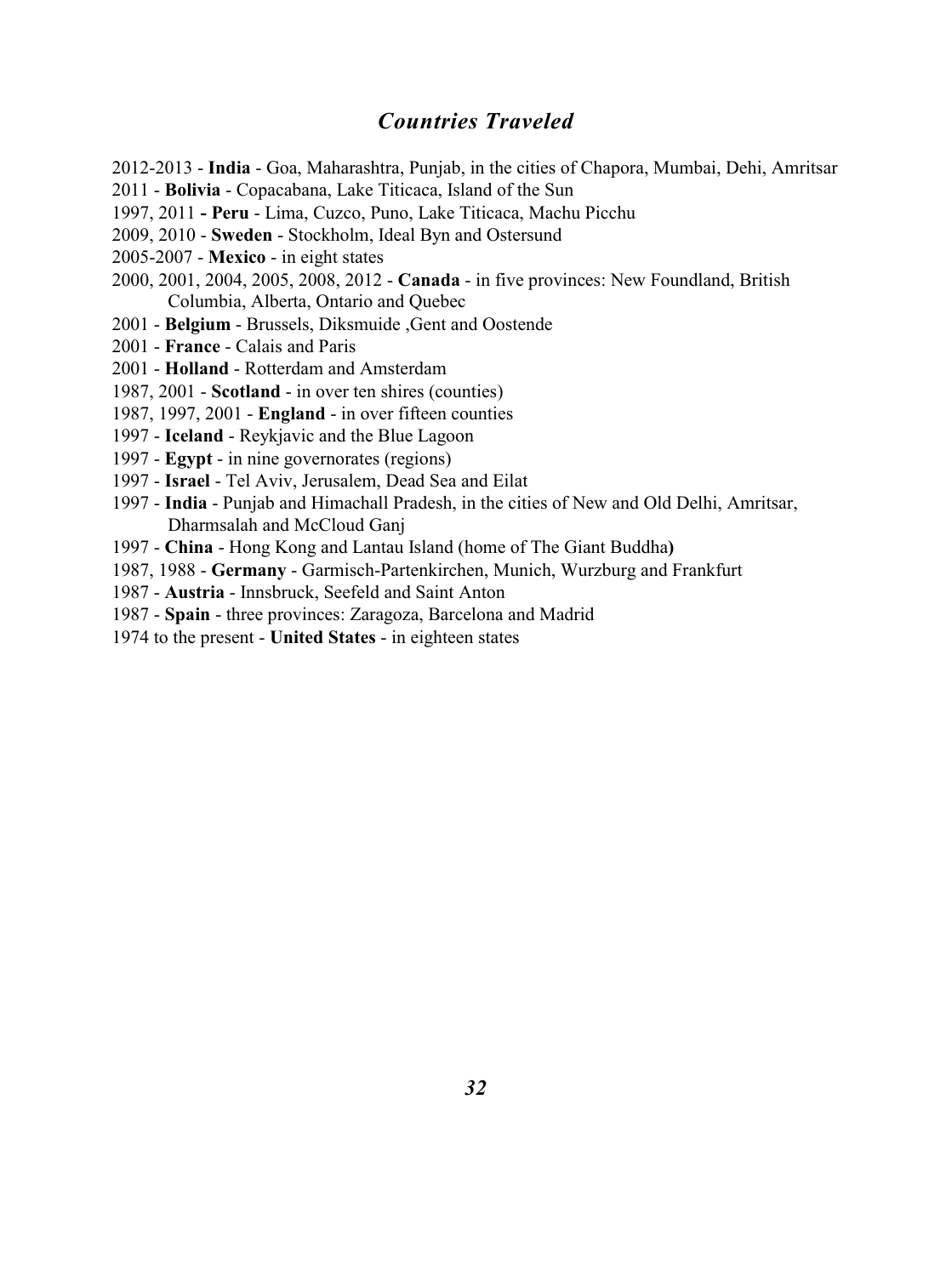### *Countries Traveled*

- 2012-2013 **India**  Goa, Maharashtra, Punjab, in the cities of Chapora, Mumbai, Dehi, Amritsar
- 2011 - **Bolivia** Copacabana, Lake Titicaca, Island of the Sun
- 1997, 2011  **Peru**  Lima, Cuzco, Puno, Lake Titicaca, Machu Picchu
- 2009, 2010 **Sweden** Stockholm, Ideal Byn and Ostersund
- 2005-2007 - **Mexico** in eight states
- 2000, 2001, 2004, 2005, 2008, 2012 **Canada** in five provinces: New Foundland, British Columbia, Alberta, Ontario and Quebec
- 2001 - **Belgium**  Brussels, Diksmuide ,Gent and Oostende
- 2001 - **France**  Calais and Paris
- 2001 **Holland** Rotterdam and Amsterdam
- 1987, 2001 - **Scotland** in over ten shires (counties)
- 1987, 1997, 2001 **England** in over fifteen counties
- 1997 **Iceland** Reykjavic and the Blue Lagoon
- 1997 **Egypt** in nine governorates (regions)
- 1997 - **Israel**  Tel Aviv, Jerusalem, Dead Sea and Eilat
- 1997 **India**  Punjab and Himachall Pradesh, in the cities of New and Old Delhi, Amritsar, Dharmsalah and McCloud Ganj
- 1997 **China**  Hong Kong and Lantau Island (home of The Giant Buddha**)**
- 1987, 1988 - **Germany** Garmisch-Partenkirchen, Munich, Wurzburg and Frankfurt
- 1987 **Austria**  Innsbruck, Seefeld and Saint Anton
- 1987 - **Spain** three provinces: Zaragoza, Barcelona and Madrid
- 1974 to the present **United States** in eighteen states